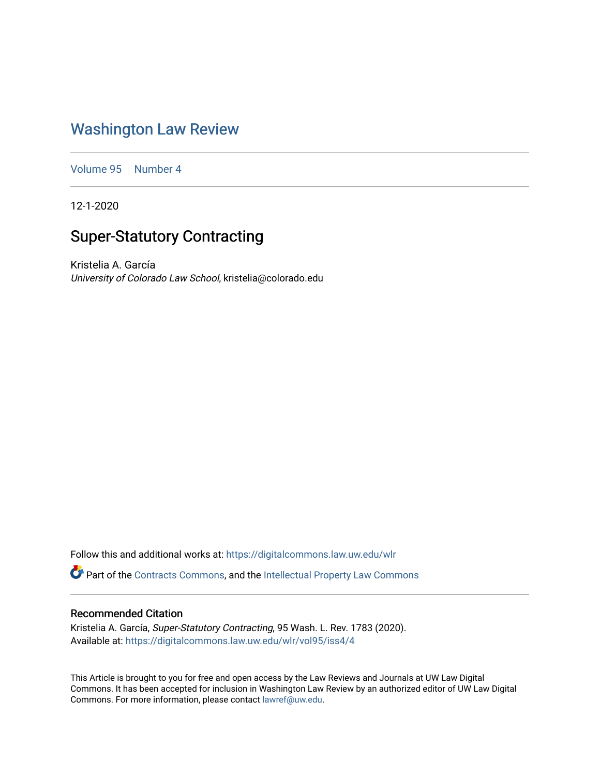## [Washington Law Review](https://digitalcommons.law.uw.edu/wlr)

[Volume 95](https://digitalcommons.law.uw.edu/wlr/vol95) | [Number 4](https://digitalcommons.law.uw.edu/wlr/vol95/iss4)

12-1-2020

# Super-Statutory Contracting

Kristelia A. García University of Colorado Law School, kristelia@colorado.edu

Follow this and additional works at: [https://digitalcommons.law.uw.edu/wlr](https://digitalcommons.law.uw.edu/wlr?utm_source=digitalcommons.law.uw.edu%2Fwlr%2Fvol95%2Fiss4%2F4&utm_medium=PDF&utm_campaign=PDFCoverPages)

Part of the [Contracts Commons](http://network.bepress.com/hgg/discipline/591?utm_source=digitalcommons.law.uw.edu%2Fwlr%2Fvol95%2Fiss4%2F4&utm_medium=PDF&utm_campaign=PDFCoverPages), and the Intellectual Property Law Commons

## Recommended Citation

Kristelia A. García, Super-Statutory Contracting, 95 Wash. L. Rev. 1783 (2020). Available at: [https://digitalcommons.law.uw.edu/wlr/vol95/iss4/4](https://digitalcommons.law.uw.edu/wlr/vol95/iss4/4?utm_source=digitalcommons.law.uw.edu%2Fwlr%2Fvol95%2Fiss4%2F4&utm_medium=PDF&utm_campaign=PDFCoverPages)

This Article is brought to you for free and open access by the Law Reviews and Journals at UW Law Digital Commons. It has been accepted for inclusion in Washington Law Review by an authorized editor of UW Law Digital Commons. For more information, please contact [lawref@uw.edu](mailto:lawref@uw.edu).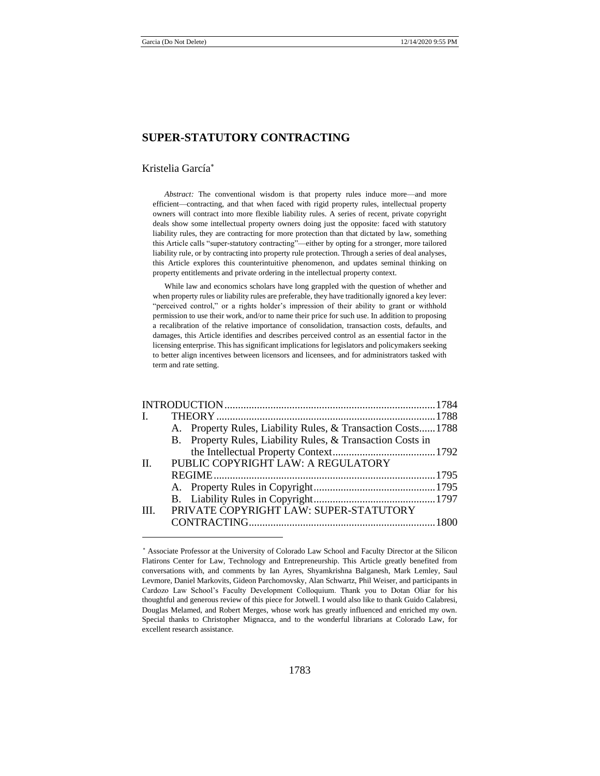## **SUPER-STATUTORY CONTRACTING**

#### Kristelia García

*Abstract:* The conventional wisdom is that property rules induce more—and more efficient—contracting, and that when faced with rigid property rules, intellectual property owners will contract into more flexible liability rules. A series of recent, private copyright deals show some intellectual property owners doing just the opposite: faced with statutory liability rules, they are contracting for more protection than that dictated by law, something this Article calls "super-statutory contracting"—either by opting for a stronger, more tailored liability rule, or by contracting into property rule protection. Through a series of deal analyses, this Article explores this counterintuitive phenomenon, and updates seminal thinking on property entitlements and private ordering in the intellectual property context.

While law and economics scholars have long grappled with the question of whether and when property rules or liability rules are preferable, they have traditionally ignored a key lever: "perceived control," or a rights holder's impression of their ability to grant or withhold permission to use their work, and/or to name their price for such use. In addition to proposing a recalibration of the relative importance of consolidation, transaction costs, defaults, and damages, this Article identifies and describes perceived control as an essential factor in the licensing enterprise. This has significant implications for legislators and policymakers seeking to better align incentives between licensors and licensees, and for administrators tasked with term and rate setting.

|         |                                    | A. Property Rules, Liability Rules, & Transaction Costs1788 |  |  |
|---------|------------------------------------|-------------------------------------------------------------|--|--|
|         |                                    | B. Property Rules, Liability Rules, & Transaction Costs in  |  |  |
|         |                                    |                                                             |  |  |
| $\Pi$ . | PUBLIC COPYRIGHT LAW: A REGULATORY |                                                             |  |  |
|         |                                    |                                                             |  |  |
|         |                                    |                                                             |  |  |
|         |                                    |                                                             |  |  |
| Ш       |                                    | PRIVATE COPYRIGHT LAW: SUPER-STATUTORY                      |  |  |
|         |                                    |                                                             |  |  |

Associate Professor at the University of Colorado Law School and Faculty Director at the Silicon Flatirons Center for Law, Technology and Entrepreneurship. This Article greatly benefited from conversations with, and comments by Ian Ayres, Shyamkrishna Balganesh, Mark Lemley, Saul Levmore, Daniel Markovits, Gideon Parchomovsky, Alan Schwartz, Phil Weiser, and participants in Cardozo Law School's Faculty Development Colloquium. Thank you to Dotan Oliar for his thoughtful and generous review of this piece for Jotwell. I would also like to thank Guido Calabresi, Douglas Melamed, and Robert Merges, whose work has greatly influenced and enriched my own. Special thanks to Christopher Mignacca, and to the wonderful librarians at Colorado Law, for excellent research assistance.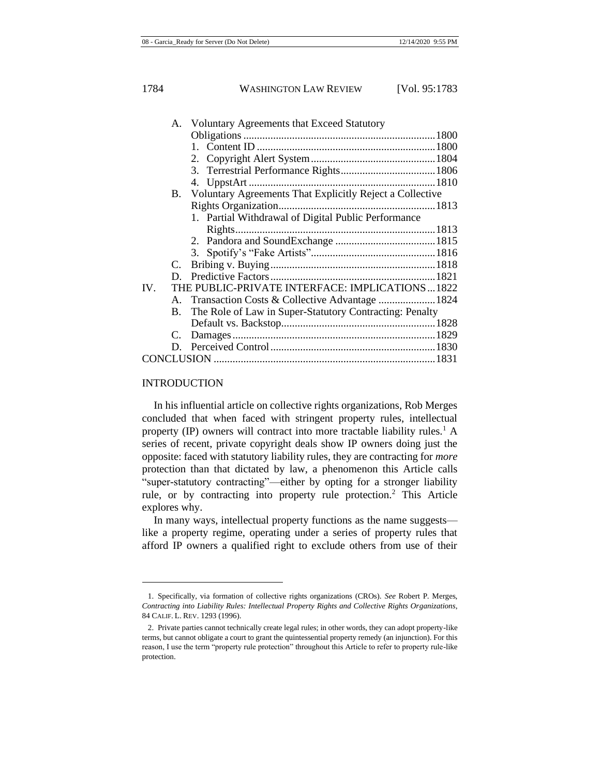| A. Voluntary Agreements that Exceed Statutory               |  |  |  |  |
|-------------------------------------------------------------|--|--|--|--|
|                                                             |  |  |  |  |
|                                                             |  |  |  |  |
|                                                             |  |  |  |  |
|                                                             |  |  |  |  |
|                                                             |  |  |  |  |
| B. Voluntary Agreements That Explicitly Reject a Collective |  |  |  |  |
|                                                             |  |  |  |  |
| 1. Partial Withdrawal of Digital Public Performance         |  |  |  |  |
|                                                             |  |  |  |  |
|                                                             |  |  |  |  |
|                                                             |  |  |  |  |
|                                                             |  |  |  |  |
|                                                             |  |  |  |  |
| IV.<br>THE PUBLIC-PRIVATE INTERFACE: IMPLICATIONS1822       |  |  |  |  |
|                                                             |  |  |  |  |
| The Role of Law in Super-Statutory Contracting: Penalty     |  |  |  |  |
|                                                             |  |  |  |  |
|                                                             |  |  |  |  |
|                                                             |  |  |  |  |
|                                                             |  |  |  |  |
|                                                             |  |  |  |  |

#### INTRODUCTION

<span id="page-2-0"></span>In his influential article on collective rights organizations, Rob Merges concluded that when faced with stringent property rules, intellectual property (IP) owners will contract into more tractable liability rules.<sup>1</sup> A series of recent, private copyright deals show IP owners doing just the opposite: faced with statutory liability rules, they are contracting for *more* protection than that dictated by law, a phenomenon this Article calls "super-statutory contracting"—either by opting for a stronger liability rule, or by contracting into property rule protection.<sup>2</sup> This Article explores why.

In many ways, intellectual property functions as the name suggests like a property regime, operating under a series of property rules that afford IP owners a qualified right to exclude others from use of their

<sup>1.</sup> Specifically, via formation of collective rights organizations (CROs). *See* Robert P. Merges, *Contracting into Liability Rules: Intellectual Property Rights and Collective Rights Organizations*, 84 CALIF. L. REV. 1293 (1996).

<sup>2.</sup> Private parties cannot technically create legal rules; in other words, they can adopt property-like terms, but cannot obligate a court to grant the quintessential property remedy (an injunction). For this reason, I use the term "property rule protection" throughout this Article to refer to property rule-like protection.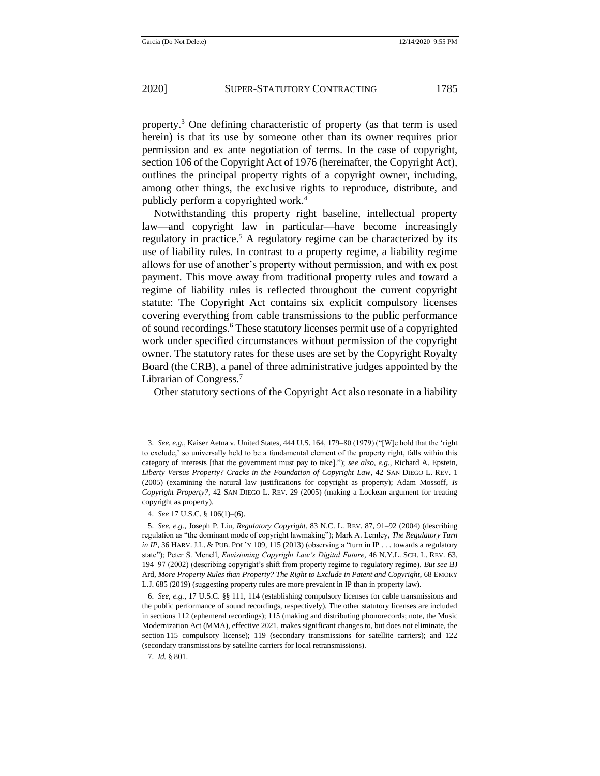<span id="page-3-0"></span>property.<sup>3</sup> One defining characteristic of property (as that term is used herein) is that its use by someone other than its owner requires prior permission and ex ante negotiation of terms. In the case of copyright, section 106 of the Copyright Act of 1976 (hereinafter, the Copyright Act), outlines the principal property rights of a copyright owner, including, among other things, the exclusive rights to reproduce, distribute, and publicly perform a copyrighted work.<sup>4</sup>

<span id="page-3-1"></span>Notwithstanding this property right baseline, intellectual property law—and copyright law in particular—have become increasingly regulatory in practice.<sup>5</sup> A regulatory regime can be characterized by its use of liability rules. In contrast to a property regime, a liability regime allows for use of another's property without permission, and with ex post payment. This move away from traditional property rules and toward a regime of liability rules is reflected throughout the current copyright statute: The Copyright Act contains six explicit compulsory licenses covering everything from cable transmissions to the public performance of sound recordings.<sup>6</sup> These statutory licenses permit use of a copyrighted work under specified circumstances without permission of the copyright owner. The statutory rates for these uses are set by the Copyright Royalty Board (the CRB), a panel of three administrative judges appointed by the Librarian of Congress.<sup>7</sup>

Other statutory sections of the Copyright Act also resonate in a liability

<sup>3.</sup> *See, e.g.*, Kaiser Aetna v. United States, 444 U.S. 164, 179–80 (1979) ("[W]e hold that the 'right to exclude,' so universally held to be a fundamental element of the property right, falls within this category of interests [that the government must pay to take]."); *see also, e.g.*, Richard A. Epstein, *Liberty Versus Property? Cracks in the Foundation of Copyright Law*, 42 SAN DIEGO L. REV. 1 (2005) (examining the natural law justifications for copyright as property); Adam Mossoff, *Is Copyright Property?*, 42 SAN DIEGO L. REV. 29 (2005) (making a Lockean argument for treating copyright as property).

<sup>4.</sup> *See* 17 U.S.C. § 106(1)–(6).

<sup>5.</sup> *See, e.g.*, Joseph P. Liu, *Regulatory Copyright*, 83 N.C. L. REV. 87, 91–92 (2004) (describing regulation as "the dominant mode of copyright lawmaking"); Mark A. Lemley, *The Regulatory Turn in IP*, 36 HARV. J.L. & PUB. POL'Y 109, 115 (2013) (observing a "turn in IP . . . towards a regulatory state"); Peter S. Menell, *Envisioning Copyright Law's Digital Future*, 46 N.Y.L. SCH. L. REV. 63, 194–97 (2002) (describing copyright's shift from property regime to regulatory regime). *But see* BJ Ard, *More Property Rules than Property? The Right to Exclude in Patent and Copyright*, 68 EMORY L.J. 685 (2019) (suggesting property rules are more prevalent in IP than in property law).

<sup>6.</sup> *See, e.g.*, 17 U.S.C. §§ 111, 114 (establishing compulsory licenses for cable transmissions and the public performance of sound recordings, respectively). The other statutory licenses are included in sections 112 (ephemeral recordings); 115 (making and distributing phonorecords; note, the Music Modernization Act (MMA), effective 2021, makes significant changes to, but does not eliminate, the section 115 compulsory license); 119 (secondary transmissions for satellite carriers); and 122 (secondary transmissions by satellite carriers for local retransmissions).

<sup>7.</sup> *Id.* § 801.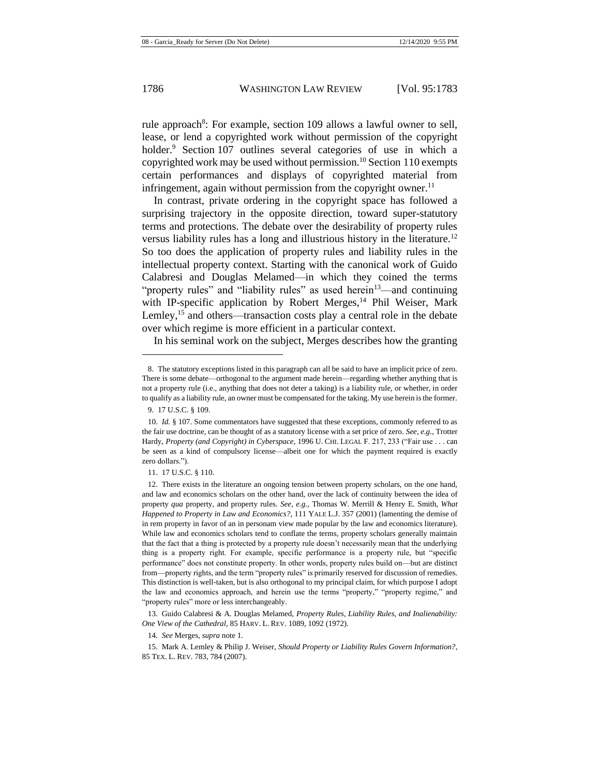rule approach<sup>8</sup>: For example, section 109 allows a lawful owner to sell, lease, or lend a copyrighted work without permission of the copyright holder.<sup>9</sup> Section 107 outlines several categories of use in which a copyrighted work may be used without permission.<sup>10</sup> Section 110 exempts certain performances and displays of copyrighted material from infringement, again without permission from the copyright owner.<sup>11</sup>

In contrast, private ordering in the copyright space has followed a surprising trajectory in the opposite direction, toward super-statutory terms and protections. The debate over the desirability of property rules versus liability rules has a long and illustrious history in the literature.<sup>12</sup> So too does the application of property rules and liability rules in the intellectual property context. Starting with the canonical work of Guido Calabresi and Douglas Melamed—in which they coined the terms "property rules" and "liability rules" as used herein<sup>13</sup>—and continuing with IP-specific application by Robert Merges,<sup>14</sup> Phil Weiser, Mark Lemley,<sup>15</sup> and others—transaction costs play a central role in the debate over which regime is more efficient in a particular context.

<span id="page-4-1"></span><span id="page-4-0"></span>In his seminal work on the subject, Merges describes how the granting

13. Guido Calabresi & A. Douglas Melamed, *Property Rules, Liability Rules, and Inalienability: One View of the Cathedral*, 85 HARV. L. REV. 1089, 1092 (1972).

14. *See* Merges, *supra* note [1.](#page-2-0)

<sup>8.</sup> The statutory exceptions listed in this paragraph can all be said to have an implicit price of zero. There is some debate—orthogonal to the argument made herein—regarding whether anything that is not a property rule (i.e., anything that does not deter a taking) is a liability rule, or whether, in order to qualify as a liability rule, an owner must be compensated for the taking. My use herein is the former.

<sup>9.</sup> 17 U.S.C. § 109.

<sup>10.</sup> *Id.* § 107. Some commentators have suggested that these exceptions, commonly referred to as the fair use doctrine, can be thought of as a statutory license with a set price of zero. *See, e.g.*, Trotter Hardy, *Property (and Copyright) in Cyberspace*, 1996 U. CHI. LEGAL F. 217, 233 ("Fair use . . . can be seen as a kind of compulsory license—albeit one for which the payment required is exactly zero dollars.").

<sup>11.</sup> 17 U.S.C. § 110.

<sup>12.</sup> There exists in the literature an ongoing tension between property scholars, on the one hand, and law and economics scholars on the other hand, over the lack of continuity between the idea of property *qua* property, and property rules. *See, e.g.*, Thomas W. Merrill & Henry E. Smith, *What Happened to Property in Law and Economics?*, 111 YALE L.J. 357 (2001) (lamenting the demise of in rem property in favor of an in personam view made popular by the law and economics literature). While law and economics scholars tend to conflate the terms, property scholars generally maintain that the fact that a thing is protected by a property rule doesn't necessarily mean that the underlying thing is a property right. For example, specific performance is a property rule, but "specific performance" does not constitute property. In other words, property rules build on—but are distinct from—property rights, and the term "property rules" is primarily reserved for discussion of remedies. This distinction is well-taken, but is also orthogonal to my principal claim, for which purpose I adopt the law and economics approach, and herein use the terms "property," "property regime," and "property rules" more or less interchangeably.

<sup>15.</sup> Mark A. Lemley & Philip J. Weiser, *Should Property or Liability Rules Govern Information?*, 85 TEX. L. REV. 783, 784 (2007).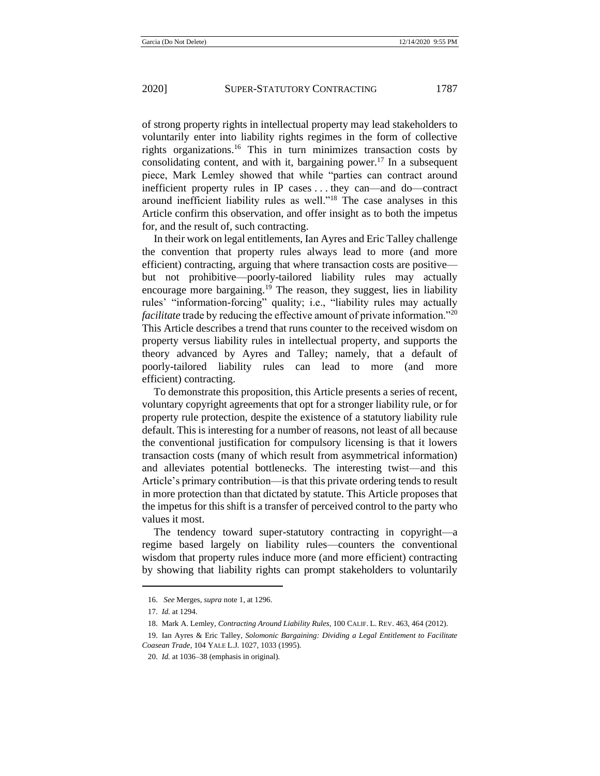of strong property rights in intellectual property may lead stakeholders to voluntarily enter into liability rights regimes in the form of collective rights organizations.<sup>16</sup> This in turn minimizes transaction costs by consolidating content, and with it, bargaining power.<sup>17</sup> In a subsequent piece, Mark Lemley showed that while "parties can contract around inefficient property rules in IP cases . . . they can—and do—contract around inefficient liability rules as well."<sup>18</sup> The case analyses in this Article confirm this observation, and offer insight as to both the impetus for, and the result of, such contracting.

<span id="page-5-0"></span>In their work on legal entitlements, Ian Ayres and Eric Talley challenge the convention that property rules always lead to more (and more efficient) contracting, arguing that where transaction costs are positive but not prohibitive—poorly-tailored liability rules may actually encourage more bargaining.<sup>19</sup> The reason, they suggest, lies in liability rules' "information-forcing" quality; i.e., "liability rules may actually *facilitate* trade by reducing the effective amount of private information."<sup>20</sup> This Article describes a trend that runs counter to the received wisdom on property versus liability rules in intellectual property, and supports the theory advanced by Ayres and Talley; namely, that a default of poorly-tailored liability rules can lead to more (and more efficient) contracting.

To demonstrate this proposition, this Article presents a series of recent, voluntary copyright agreements that opt for a stronger liability rule, or for property rule protection, despite the existence of a statutory liability rule default. This is interesting for a number of reasons, not least of all because the conventional justification for compulsory licensing is that it lowers transaction costs (many of which result from asymmetrical information) and alleviates potential bottlenecks. The interesting twist—and this Article's primary contribution—is that this private ordering tends to result in more protection than that dictated by statute. This Article proposes that the impetus for this shift is a transfer of perceived control to the party who values it most.

The tendency toward super-statutory contracting in copyright—a regime based largely on liability rules—counters the conventional wisdom that property rules induce more (and more efficient) contracting by showing that liability rights can prompt stakeholders to voluntarily

<sup>16.</sup> *See* Merges, *supra* note [1,](#page-2-0) at 1296.

<sup>17.</sup> *Id.* at 1294.

<sup>18.</sup> Mark A. Lemley, *Contracting Around Liability Rules*, 100 CALIF. L. REV. 463, 464 (2012).

<sup>19.</sup> Ian Ayres & Eric Talley, *Solomonic Bargaining: Dividing a Legal Entitlement to Facilitate Coasean Trade*, 104 YALE L.J. 1027, 1033 (1995).

<sup>20.</sup> *Id.* at 1036–38 (emphasis in original).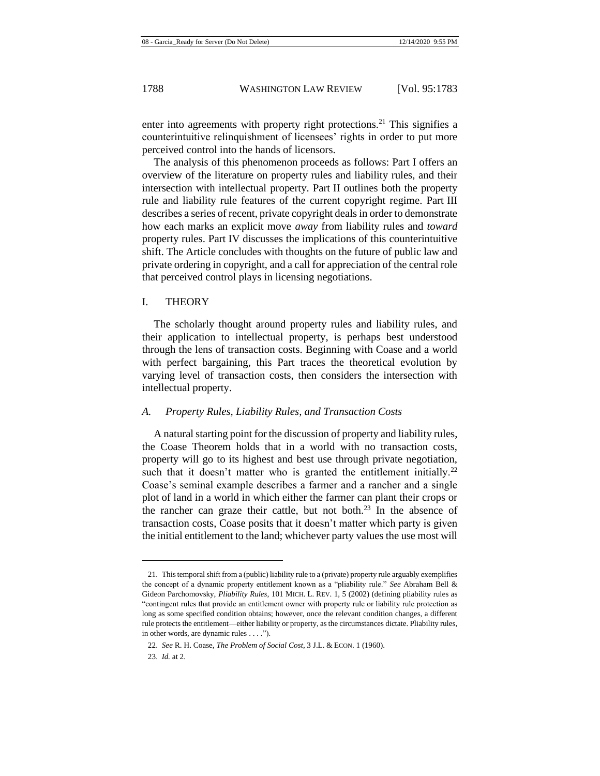enter into agreements with property right protections.<sup>21</sup> This signifies a counterintuitive relinquishment of licensees' rights in order to put more perceived control into the hands of licensors.

The analysis of this phenomenon proceeds as follows: Part I offers an overview of the literature on property rules and liability rules, and their intersection with intellectual property. Part II outlines both the property rule and liability rule features of the current copyright regime. Part III describes a series of recent, private copyright deals in order to demonstrate how each marks an explicit move *away* from liability rules and *toward* property rules. Part IV discusses the implications of this counterintuitive shift. The Article concludes with thoughts on the future of public law and private ordering in copyright, and a call for appreciation of the central role that perceived control plays in licensing negotiations.

#### I. THEORY

The scholarly thought around property rules and liability rules, and their application to intellectual property, is perhaps best understood through the lens of transaction costs. Beginning with Coase and a world with perfect bargaining, this Part traces the theoretical evolution by varying level of transaction costs, then considers the intersection with intellectual property.

#### *A. Property Rules, Liability Rules, and Transaction Costs*

A natural starting point for the discussion of property and liability rules, the Coase Theorem holds that in a world with no transaction costs, property will go to its highest and best use through private negotiation, such that it doesn't matter who is granted the entitlement initially.<sup>22</sup> Coase's seminal example describes a farmer and a rancher and a single plot of land in a world in which either the farmer can plant their crops or the rancher can graze their cattle, but not both.<sup>23</sup> In the absence of transaction costs, Coase posits that it doesn't matter which party is given the initial entitlement to the land; whichever party values the use most will

<sup>21.</sup> This temporal shift from a (public) liability rule to a (private) property rule arguably exemplifies the concept of a dynamic property entitlement known as a "pliability rule." *See* Abraham Bell & Gideon Parchomovsky, *Pliability Rules*, 101 MICH. L. REV. 1, 5 (2002) (defining pliability rules as "contingent rules that provide an entitlement owner with property rule or liability rule protection as long as some specified condition obtains; however, once the relevant condition changes, a different rule protects the entitlement—either liability or property, as the circumstances dictate. Pliability rules, in other words, are dynamic rules . . . .").

<sup>22.</sup> *See* R. H. Coase, *The Problem of Social Cost*, 3 J.L. & ECON. 1 (1960).

<sup>23.</sup> *Id.* at 2.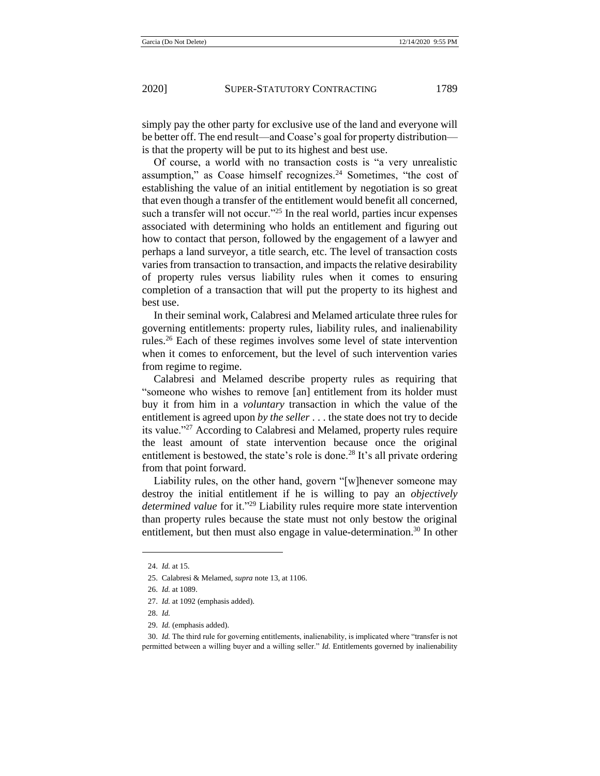simply pay the other party for exclusive use of the land and everyone will be better off. The end result—and Coase's goal for property distribution is that the property will be put to its highest and best use.

Of course, a world with no transaction costs is "a very unrealistic assumption," as Coase himself recognizes. $24$  Sometimes, "the cost of establishing the value of an initial entitlement by negotiation is so great that even though a transfer of the entitlement would benefit all concerned, such a transfer will not occur."<sup>25</sup> In the real world, parties incur expenses associated with determining who holds an entitlement and figuring out how to contact that person, followed by the engagement of a lawyer and perhaps a land surveyor, a title search, etc. The level of transaction costs varies from transaction to transaction, and impacts the relative desirability of property rules versus liability rules when it comes to ensuring completion of a transaction that will put the property to its highest and best use.

In their seminal work, Calabresi and Melamed articulate three rules for governing entitlements: property rules, liability rules, and inalienability rules.<sup>26</sup> Each of these regimes involves some level of state intervention when it comes to enforcement, but the level of such intervention varies from regime to regime.

Calabresi and Melamed describe property rules as requiring that "someone who wishes to remove [an] entitlement from its holder must buy it from him in a *voluntary* transaction in which the value of the entitlement is agreed upon *by the seller* . . . the state does not try to decide its value."<sup>27</sup> According to Calabresi and Melamed, property rules require the least amount of state intervention because once the original entitlement is bestowed, the state's role is done.<sup>28</sup> It's all private ordering from that point forward.

Liability rules, on the other hand, govern "[w]henever someone may destroy the initial entitlement if he is willing to pay an *objectively determined value* for it."<sup>29</sup> Liability rules require more state intervention than property rules because the state must not only bestow the original entitlement, but then must also engage in value-determination.<sup>30</sup> In other

<sup>24.</sup> *Id.* at 15.

<sup>25.</sup> Calabresi & Melamed, *supra* note [13,](#page-4-0) at 1106.

<sup>26.</sup> *Id.* at 1089.

<sup>27.</sup> *Id.* at 1092 (emphasis added).

<sup>28.</sup> *Id.*

<sup>29.</sup> *Id.* (emphasis added).

<sup>30.</sup> *Id.* The third rule for governing entitlements, inalienability, is implicated where "transfer is not permitted between a willing buyer and a willing seller." *Id.* Entitlements governed by inalienability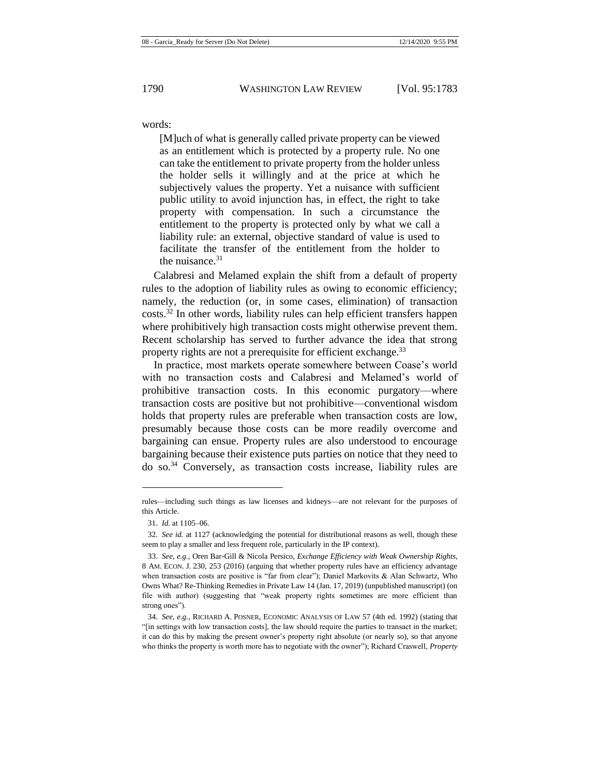words:

[M]uch of what is generally called private property can be viewed as an entitlement which is protected by a property rule. No one can take the entitlement to private property from the holder unless the holder sells it willingly and at the price at which he subjectively values the property. Yet a nuisance with sufficient public utility to avoid injunction has, in effect, the right to take property with compensation. In such a circumstance the entitlement to the property is protected only by what we call a liability rule: an external, objective standard of value is used to facilitate the transfer of the entitlement from the holder to the nuisance. $31$ 

Calabresi and Melamed explain the shift from a default of property rules to the adoption of liability rules as owing to economic efficiency; namely, the reduction (or, in some cases, elimination) of transaction costs.<sup>32</sup> In other words, liability rules can help efficient transfers happen where prohibitively high transaction costs might otherwise prevent them. Recent scholarship has served to further advance the idea that strong property rights are not a prerequisite for efficient exchange.<sup>33</sup>

In practice, most markets operate somewhere between Coase's world with no transaction costs and Calabresi and Melamed's world of prohibitive transaction costs. In this economic purgatory—where transaction costs are positive but not prohibitive—conventional wisdom holds that property rules are preferable when transaction costs are low, presumably because those costs can be more readily overcome and bargaining can ensue. Property rules are also understood to encourage bargaining because their existence puts parties on notice that they need to do so.<sup>34</sup> Conversely, as transaction costs increase, liability rules are

<span id="page-8-0"></span>rules—including such things as law licenses and kidneys—are not relevant for the purposes of this Article.

<sup>31.</sup> *Id.* at 1105–06.

<sup>32.</sup> *See id.* at 1127 (acknowledging the potential for distributional reasons as well, though these seem to play a smaller and less frequent role, particularly in the IP context).

<sup>33.</sup> *See, e.g.*, Oren Bar-Gill & Nicola Persico, *Exchange Efficiency with Weak Ownership Rights*, 8 AM. ECON. J. 230, 253 (2016) (arguing that whether property rules have an efficiency advantage when transaction costs are positive is "far from clear"); Daniel Markovits & Alan Schwartz, Who Owns What? Re-Thinking Remedies in Private Law 14 (Jan. 17, 2019) (unpublished manuscript) (on file with author) (suggesting that "weak property rights sometimes are more efficient than strong ones").

<sup>34.</sup> *See, e.g.*, RICHARD A. POSNER, ECONOMIC ANALYSIS OF LAW 57 (4th ed. 1992) (stating that "[in settings with low transaction costs], the law should require the parties to transact in the market; it can do this by making the present owner's property right absolute (or nearly so), so that anyone who thinks the property is worth more has to negotiate with the owner"); Richard Craswell, *Property*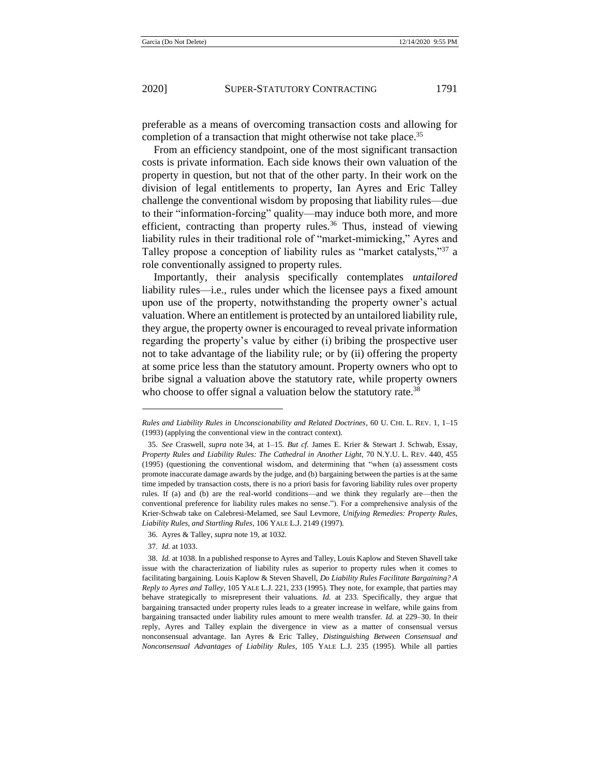preferable as a means of overcoming transaction costs and allowing for completion of a transaction that might otherwise not take place.<sup>35</sup>

From an efficiency standpoint, one of the most significant transaction costs is private information. Each side knows their own valuation of the property in question, but not that of the other party. In their work on the division of legal entitlements to property, Ian Ayres and Eric Talley challenge the conventional wisdom by proposing that liability rules—due to their "information-forcing" quality—may induce both more, and more efficient, contracting than property rules.<sup>36</sup> Thus, instead of viewing liability rules in their traditional role of "market-mimicking," Ayres and Talley propose a conception of liability rules as "market catalysts,"<sup>37</sup> a role conventionally assigned to property rules.

Importantly, their analysis specifically contemplates *untailored*  liability rules—i.e., rules under which the licensee pays a fixed amount upon use of the property, notwithstanding the property owner's actual valuation. Where an entitlement is protected by an untailored liability rule, they argue, the property owner is encouraged to reveal private information regarding the property's value by either (i) bribing the prospective user not to take advantage of the liability rule; or by (ii) offering the property at some price less than the statutory amount. Property owners who opt to bribe signal a valuation above the statutory rate, while property owners who choose to offer signal a valuation below the statutory rate.<sup>38</sup>

37. *Id.* at 1033.

<span id="page-9-0"></span>*Rules and Liability Rules in Unconscionability and Related Doctrines*, 60 U. CHI. L. REV. 1, 1–15 (1993) (applying the conventional view in the contract context).

<sup>35.</sup> *See* Craswell*, supra* note [34,](#page-8-0) at 1–15*. But cf.* James E. Krier & Stewart J. Schwab, Essay, *Property Rules and Liability Rules: The Cathedral in Another Light*, 70 N.Y.U. L. REV. 440, 455 (1995) (questioning the conventional wisdom, and determining that "when (a) assessment costs promote inaccurate damage awards by the judge, and (b) bargaining between the parties is at the same time impeded by transaction costs, there is no a priori basis for favoring liability rules over property rules. If (a) and (b) are the real-world conditions—and we think they regularly are—then the conventional preference for liability rules makes no sense."). For a comprehensive analysis of the Krier-Schwab take on Calebresi-Melamed, see Saul Levmore, *Unifying Remedies: Property Rules, Liability Rules, and Startling Rules*, 106 YALE L.J. 2149 (1997).

<sup>36.</sup> Ayres & Talley, *supra* note [19,](#page-5-0) at 1032.

<sup>38.</sup> *Id.* at 1038. In a published response to Ayres and Talley, Louis Kaplow and Steven Shavell take issue with the characterization of liability rules as superior to property rules when it comes to facilitating bargaining. Louis Kaplow & Steven Shavell, *Do Liability Rules Facilitate Bargaining? A Reply to Ayres and Talley*, 105 YALE L.J. 221, 233 (1995). They note, for example, that parties may behave strategically to misrepresent their valuations. *Id.* at 233. Specifically, they argue that bargaining transacted under property rules leads to a greater increase in welfare, while gains from bargaining transacted under liability rules amount to mere wealth transfer. *Id.* at 229–30. In their reply, Ayres and Talley explain the divergence in view as a matter of consensual versus nonconsensual advantage. Ian Ayres & Eric Talley, *Distinguishing Between Consensual and Nonconsensual Advantages of Liability Rules*, 105 YALE L.J. 235 (1995). While all parties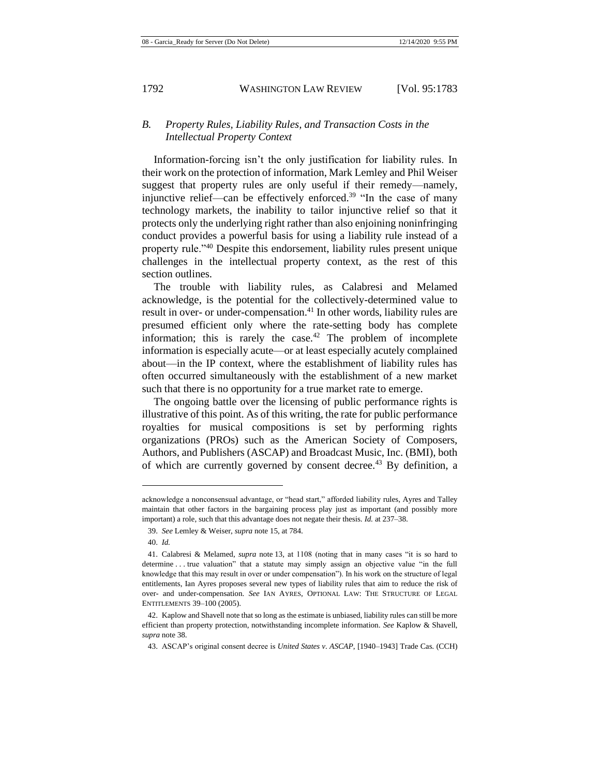## *B. Property Rules, Liability Rules, and Transaction Costs in the Intellectual Property Context*

Information-forcing isn't the only justification for liability rules. In their work on the protection of information, Mark Lemley and Phil Weiser suggest that property rules are only useful if their remedy—namely, injunctive relief—can be effectively enforced.<sup>39</sup> "In the case of many technology markets, the inability to tailor injunctive relief so that it protects only the underlying right rather than also enjoining noninfringing conduct provides a powerful basis for using a liability rule instead of a property rule."<sup>40</sup> Despite this endorsement, liability rules present unique challenges in the intellectual property context, as the rest of this section outlines.

<span id="page-10-0"></span>The trouble with liability rules, as Calabresi and Melamed acknowledge, is the potential for the collectively-determined value to result in over- or under-compensation.<sup>41</sup> In other words, liability rules are presumed efficient only where the rate-setting body has complete information; this is rarely the case. $42$  The problem of incomplete information is especially acute—or at least especially acutely complained about—in the IP context, where the establishment of liability rules has often occurred simultaneously with the establishment of a new market such that there is no opportunity for a true market rate to emerge.

The ongoing battle over the licensing of public performance rights is illustrative of this point. As of this writing, the rate for public performance royalties for musical compositions is set by performing rights organizations (PROs) such as the American Society of Composers, Authors, and Publishers (ASCAP) and Broadcast Music, Inc. (BMI), both of which are currently governed by consent decree.<sup>43</sup> By definition, a

acknowledge a nonconsensual advantage, or "head start," afforded liability rules, Ayres and Talley maintain that other factors in the bargaining process play just as important (and possibly more important) a role, such that this advantage does not negate their thesis. *Id.* at 237–38.

<sup>39.</sup> *See* Lemley & Weiser, *supra* note [15,](#page-4-1) at 784.

<sup>40.</sup> *Id.*

<sup>41.</sup> Calabresi & Melamed, *supra* note [13,](#page-4-0) at 1108 (noting that in many cases "it is so hard to determine . . . true valuation" that a statute may simply assign an objective value "in the full knowledge that this may result in over or under compensation"). In his work on the structure of legal entitlements, Ian Ayres proposes several new types of liability rules that aim to reduce the risk of over- and under-compensation. *See* IAN AYRES, OPTIONAL LAW: THE STRUCTURE OF LEGAL ENTITLEMENTS 39–100 (2005).

<sup>42.</sup> Kaplow and Shavell note that so long as the estimate is unbiased, liability rules can still be more efficient than property protection, notwithstanding incomplete information. *See* Kaplow & Shavell, *supra* note [38.](#page-9-0)

<sup>43.</sup> ASCAP's original consent decree is *United States v. ASCAP*, [1940–1943] Trade Cas. (CCH)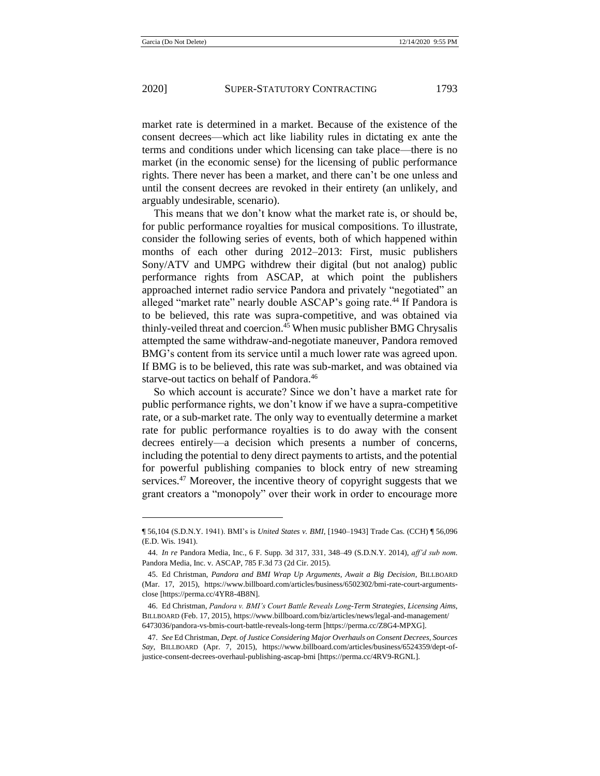market rate is determined in a market. Because of the existence of the consent decrees—which act like liability rules in dictating ex ante the terms and conditions under which licensing can take place—there is no market (in the economic sense) for the licensing of public performance rights. There never has been a market, and there can't be one unless and until the consent decrees are revoked in their entirety (an unlikely, and arguably undesirable, scenario).

This means that we don't know what the market rate is, or should be, for public performance royalties for musical compositions. To illustrate, consider the following series of events, both of which happened within months of each other during 2012–2013: First, music publishers Sony/ATV and UMPG withdrew their digital (but not analog) public performance rights from ASCAP, at which point the publishers approached internet radio service Pandora and privately "negotiated" an alleged "market rate" nearly double ASCAP's going rate.<sup>44</sup> If Pandora is to be believed, this rate was supra-competitive, and was obtained via thinly-veiled threat and coercion.<sup>45</sup> When music publisher BMG Chrysalis attempted the same withdraw-and-negotiate maneuver, Pandora removed BMG's content from its service until a much lower rate was agreed upon. If BMG is to be believed, this rate was sub-market, and was obtained via starve-out tactics on behalf of Pandora.<sup>46</sup>

So which account is accurate? Since we don't have a market rate for public performance rights, we don't know if we have a supra-competitive rate, or a sub-market rate. The only way to eventually determine a market rate for public performance royalties is to do away with the consent decrees entirely—a decision which presents a number of concerns, including the potential to deny direct payments to artists, and the potential for powerful publishing companies to block entry of new streaming services.<sup>47</sup> Moreover, the incentive theory of copyright suggests that we grant creators a "monopoly" over their work in order to encourage more

<sup>¶</sup> 56,104 (S.D.N.Y. 1941). BMI's is *United States v. BMI*, [1940–1943] Trade Cas. (CCH) ¶ 56,096 (E.D. Wis. 1941).

<sup>44.</sup> *In re* Pandora Media, Inc., 6 F. Supp. 3d 317, 331, 348–49 (S.D.N.Y. 2014), *aff'd sub nom.* Pandora Media, Inc. v. ASCAP, 785 F.3d 73 (2d Cir. 2015).

<sup>45.</sup> Ed Christman, *Pandora and BMI Wrap Up Arguments, Await a Big Decision*, BILLBOARD (Mar. 17, 2015), https://www.billboard.com/articles/business/6502302/bmi-rate-court-argumentsclose [https://perma.cc/4YR8-4B8N].

<sup>46.</sup> Ed Christman, *Pandora v. BMI's Court Battle Reveals Long-Term Strategies, Licensing Aims*, BILLBOARD (Feb. 17, 2015), https://www.billboard.com/biz/articles/news/legal-and-management/ 6473036/pandora-vs-bmis-court-battle-reveals-long-term [https://perma.cc/Z8G4-MPXG].

<sup>47.</sup> *See* Ed Christman, *Dept. of Justice Considering Major Overhauls on Consent Decrees, Sources Say*, BILLBOARD (Apr. 7, 2015), https://www.billboard.com/articles/business/6524359/dept-ofjustice-consent-decrees-overhaul-publishing-ascap-bmi [https://perma.cc/4RV9-RGNL].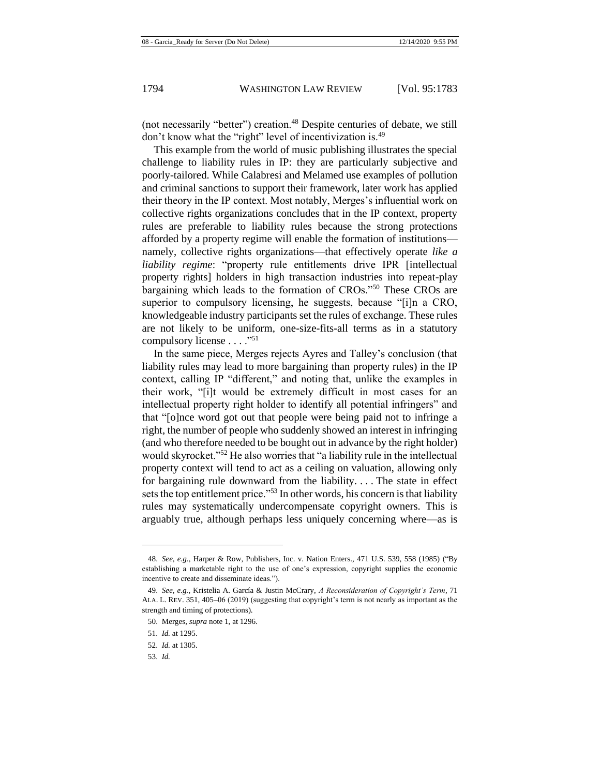(not necessarily "better") creation.<sup>48</sup> Despite centuries of debate, we still don't know what the "right" level of incentivization is.<sup>49</sup>

This example from the world of music publishing illustrates the special challenge to liability rules in IP: they are particularly subjective and poorly-tailored. While Calabresi and Melamed use examples of pollution and criminal sanctions to support their framework, later work has applied their theory in the IP context. Most notably, Merges's influential work on collective rights organizations concludes that in the IP context, property rules are preferable to liability rules because the strong protections afforded by a property regime will enable the formation of institutions namely, collective rights organizations—that effectively operate *like a liability regime*: "property rule entitlements drive IPR [intellectual property rights] holders in high transaction industries into repeat-play bargaining which leads to the formation of CROs."<sup>50</sup> These CROs are superior to compulsory licensing, he suggests, because "[i]n a CRO, knowledgeable industry participants set the rules of exchange. These rules are not likely to be uniform, one-size-fits-all terms as in a statutory compulsory license . . . ."<sup>51</sup>

In the same piece, Merges rejects Ayres and Talley's conclusion (that liability rules may lead to more bargaining than property rules) in the IP context, calling IP "different," and noting that, unlike the examples in their work, "[i]t would be extremely difficult in most cases for an intellectual property right holder to identify all potential infringers" and that "[o]nce word got out that people were being paid not to infringe a right, the number of people who suddenly showed an interest in infringing (and who therefore needed to be bought out in advance by the right holder) would skyrocket."<sup>52</sup> He also worries that "a liability rule in the intellectual property context will tend to act as a ceiling on valuation, allowing only for bargaining rule downward from the liability. . . . The state in effect sets the top entitlement price."<sup>53</sup> In other words, his concern is that liability rules may systematically undercompensate copyright owners. This is arguably true, although perhaps less uniquely concerning where—as is

53. *Id.*

<sup>48.</sup> *See, e.g.*, Harper & Row, Publishers, Inc. v. Nation Enters., 471 U.S. 539, 558 (1985) ("By establishing a marketable right to the use of one's expression, copyright supplies the economic incentive to create and disseminate ideas.").

<sup>49.</sup> *See, e.g.*, Kristelia A. García & Justin McCrary, *A Reconsideration of Copyright's Term*, 71 ALA. L. REV. 351, 405–06 (2019) (suggesting that copyright's term is not nearly as important as the strength and timing of protections).

<sup>50.</sup> Merges, *supra* note [1,](#page-2-0) at 1296.

<sup>51.</sup> *Id.* at 1295.

<sup>52.</sup> *Id.* at 1305.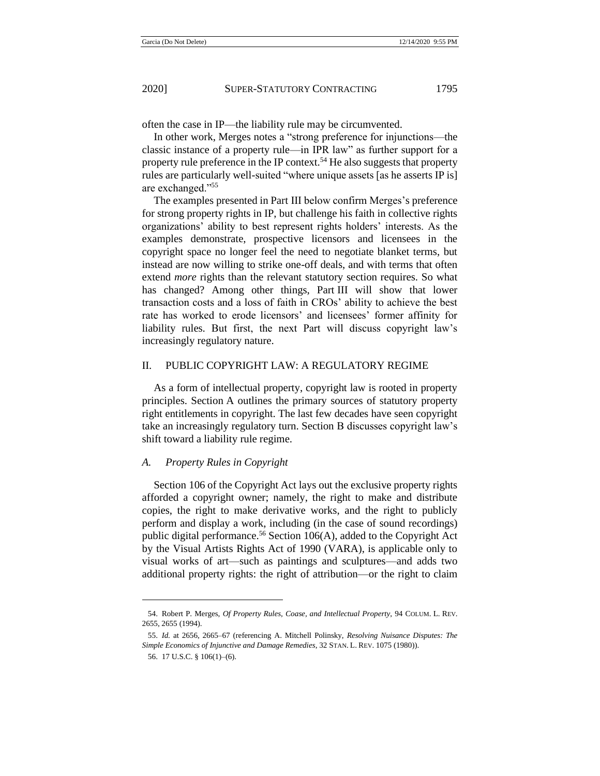<span id="page-13-0"></span>

often the case in IP—the liability rule may be circumvented.

In other work, Merges notes a "strong preference for injunctions—the classic instance of a property rule—in IPR law" as further support for a property rule preference in the IP context.<sup>54</sup> He also suggests that property rules are particularly well-suited "where unique assets [as he asserts IP is] are exchanged."<sup>55</sup>

The examples presented in Part III below confirm Merges's preference for strong property rights in IP, but challenge his faith in collective rights organizations' ability to best represent rights holders' interests. As the examples demonstrate, prospective licensors and licensees in the copyright space no longer feel the need to negotiate blanket terms, but instead are now willing to strike one-off deals, and with terms that often extend *more* rights than the relevant statutory section requires. So what has changed? Among other things, Part III will show that lower transaction costs and a loss of faith in CROs' ability to achieve the best rate has worked to erode licensors' and licensees' former affinity for liability rules. But first, the next Part will discuss copyright law's increasingly regulatory nature.

## II. PUBLIC COPYRIGHT LAW: A REGULATORY REGIME

As a form of intellectual property, copyright law is rooted in property principles. Section A outlines the primary sources of statutory property right entitlements in copyright. The last few decades have seen copyright take an increasingly regulatory turn. Section B discusses copyright law's shift toward a liability rule regime.

## *A. Property Rules in Copyright*

Section 106 of the Copyright Act lays out the exclusive property rights afforded a copyright owner; namely, the right to make and distribute copies, the right to make derivative works, and the right to publicly perform and display a work, including (in the case of sound recordings) public digital performance.<sup>56</sup> Section  $106(A)$ , added to the Copyright Act by the Visual Artists Rights Act of 1990 (VARA), is applicable only to visual works of art—such as paintings and sculptures—and adds two additional property rights: the right of attribution—or the right to claim

<sup>54.</sup> Robert P. Merges, *Of Property Rules, Coase, and Intellectual Property*, 94 COLUM. L. REV. 2655, 2655 (1994).

<sup>55.</sup> *Id.* at 2656, 2665–67 (referencing A. Mitchell Polinsky, *Resolving Nuisance Disputes: The Simple Economics of Injunctive and Damage Remedies*, 32 STAN. L. REV. 1075 (1980)).

<sup>56.</sup> 17 U.S.C. § 106(1)–(6).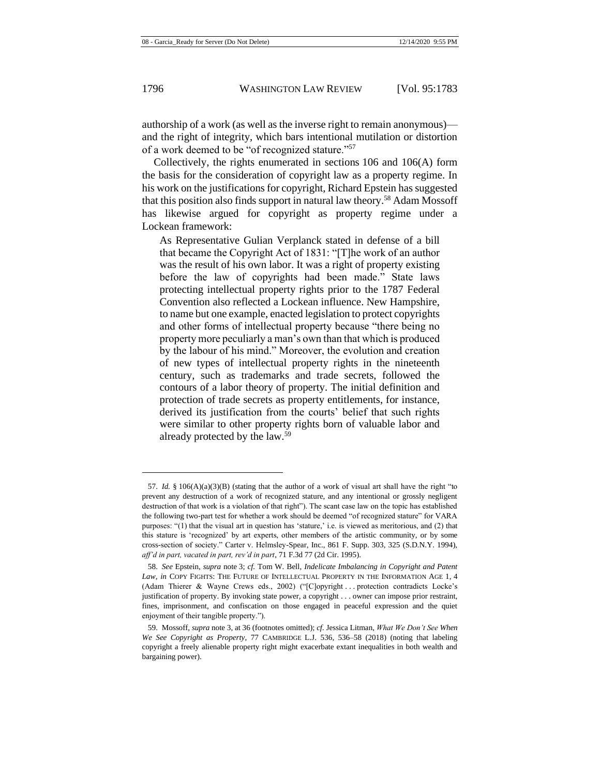authorship of a work (as well as the inverse right to remain anonymous) and the right of integrity, which bars intentional mutilation or distortion of a work deemed to be "of recognized stature."<sup>57</sup>

Collectively, the rights enumerated in sections 106 and 106(A) form the basis for the consideration of copyright law as a property regime. In his work on the justifications for copyright, Richard Epstein has suggested that this position also finds support in natural law theory.<sup>58</sup> Adam Mossoff has likewise argued for copyright as property regime under a Lockean framework:

As Representative Gulian Verplanck stated in defense of a bill that became the Copyright Act of 1831: "[T]he work of an author was the result of his own labor. It was a right of property existing before the law of copyrights had been made." State laws protecting intellectual property rights prior to the 1787 Federal Convention also reflected a Lockean influence. New Hampshire, to name but one example, enacted legislation to protect copyrights and other forms of intellectual property because "there being no property more peculiarly a man's own than that which is produced by the labour of his mind." Moreover, the evolution and creation of new types of intellectual property rights in the nineteenth century, such as trademarks and trade secrets, followed the contours of a labor theory of property. The initial definition and protection of trade secrets as property entitlements, for instance, derived its justification from the courts' belief that such rights were similar to other property rights born of valuable labor and already protected by the law.<sup>59</sup>

<sup>57.</sup> *Id.* § 106(A)(a)(3)(B) (stating that the author of a work of visual art shall have the right "to prevent any destruction of a work of recognized stature, and any intentional or grossly negligent destruction of that work is a violation of that right"). The scant case law on the topic has established the following two-part test for whether a work should be deemed "of recognized stature" for VARA purposes: "(1) that the visual art in question has 'stature,' i.e. is viewed as meritorious, and (2) that this stature is 'recognized' by art experts, other members of the artistic community, or by some cross-section of society." Carter v. Helmsley-Spear, Inc., 861 F. Supp. 303, 325 (S.D.N.Y. 1994), *aff'd in part, vacated in part, rev'd in part*, 71 F.3d 77 (2d Cir. 1995).

<sup>58.</sup> *See* Epstein, *supra* note [3;](#page-3-0) *cf.* Tom W. Bell, *Indelicate Imbalancing in Copyright and Patent Law*, *in* COPY FIGHTS: THE FUTURE OF INTELLECTUAL PROPERTY IN THE INFORMATION AGE 1, 4 (Adam Thierer & Wayne Crews eds., 2002) ("[C]opyright . . . protection contradicts Locke's justification of property. By invoking state power, a copyright . . . owner can impose prior restraint, fines, imprisonment, and confiscation on those engaged in peaceful expression and the quiet enjoyment of their tangible property.").

<sup>59.</sup> Mossoff, *supra* note [3,](#page-3-0) at 36 (footnotes omitted); *cf.* Jessica Litman, *What We Don't See When We See Copyright as Property*, 77 CAMBRIDGE L.J. 536, 536–58 (2018) (noting that labeling copyright a freely alienable property right might exacerbate extant inequalities in both wealth and bargaining power).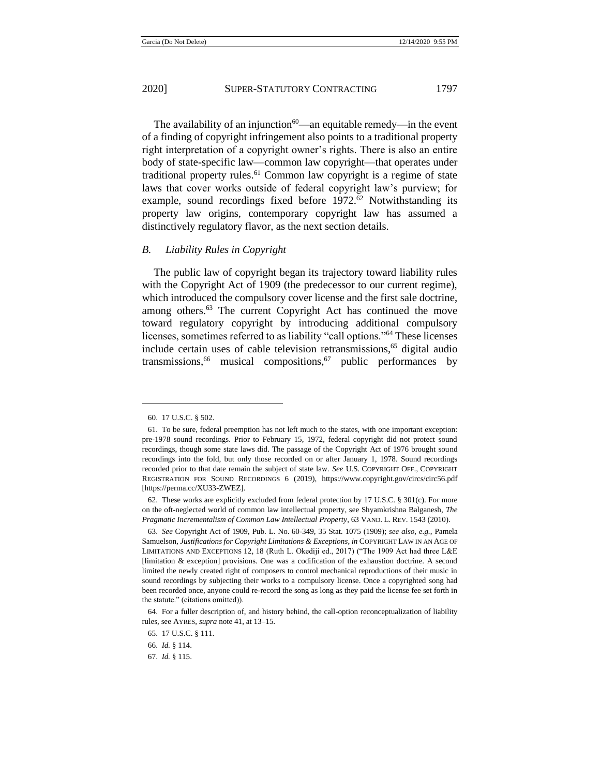The availability of an injunction<sup>60</sup>—an equitable remedy—in the event of a finding of copyright infringement also points to a traditional property right interpretation of a copyright owner's rights. There is also an entire body of state-specific law—common law copyright—that operates under traditional property rules.<sup>61</sup> Common law copyright is a regime of state laws that cover works outside of federal copyright law's purview; for example, sound recordings fixed before  $1972<sup>62</sup>$  Notwithstanding its property law origins, contemporary copyright law has assumed a distinctively regulatory flavor, as the next section details.

#### *B. Liability Rules in Copyright*

The public law of copyright began its trajectory toward liability rules with the Copyright Act of 1909 (the predecessor to our current regime), which introduced the compulsory cover license and the first sale doctrine, among others.<sup>63</sup> The current Copyright Act has continued the move toward regulatory copyright by introducing additional compulsory licenses, sometimes referred to as liability "call options."<sup>64</sup> These licenses include certain uses of cable television retransmissions,<sup>65</sup> digital audio transmissions,<sup>66</sup> musical compositions,<sup>67</sup> public performances by

<sup>60.</sup> 17 U.S.C. § 502.

<sup>61.</sup> To be sure, federal preemption has not left much to the states, with one important exception: pre-1978 sound recordings. Prior to February 15, 1972, federal copyright did not protect sound recordings, though some state laws did. The passage of the Copyright Act of 1976 brought sound recordings into the fold, but only those recorded on or after January 1, 1978. Sound recordings recorded prior to that date remain the subject of state law. *See* U.S. COPYRIGHT OFF., COPYRIGHT REGISTRATION FOR SOUND RECORDINGS 6 (2019), https://www.copyright.gov/circs/circ56.pdf [https://perma.cc/XU33-ZWEZ].

<sup>62.</sup> These works are explicitly excluded from federal protection by 17 U.S.C. § 301(c). For more on the oft-neglected world of common law intellectual property, see Shyamkrishna Balganesh, *The Pragmatic Incrementalism of Common Law Intellectual Property*, 63 VAND. L. REV. 1543 (2010).

<sup>63.</sup> *See* Copyright Act of 1909, Pub. L. No. 60-349, 35 Stat. 1075 (1909); *see also, e.g.*, Pamela Samuelson, *Justifications for Copyright Limitations & Exceptions*, *in* COPYRIGHT LAW IN AN AGE OF LIMITATIONS AND EXCEPTIONS 12, 18 (Ruth L. Okediji ed., 2017) ("The 1909 Act had three L&E [limitation & exception] provisions. One was a codification of the exhaustion doctrine. A second limited the newly created right of composers to control mechanical reproductions of their music in sound recordings by subjecting their works to a compulsory license. Once a copyrighted song had been recorded once, anyone could re-record the song as long as they paid the license fee set forth in the statute." (citations omitted)).

<sup>64.</sup> For a fuller description of, and history behind, the call-option reconceptualization of liability rules, see AYRES, *supra* note [41,](#page-10-0) at 13–15.

<sup>65.</sup> 17 U.S.C. § 111.

<sup>66.</sup> *Id.* § 114.

<sup>67.</sup> *Id.* § 115.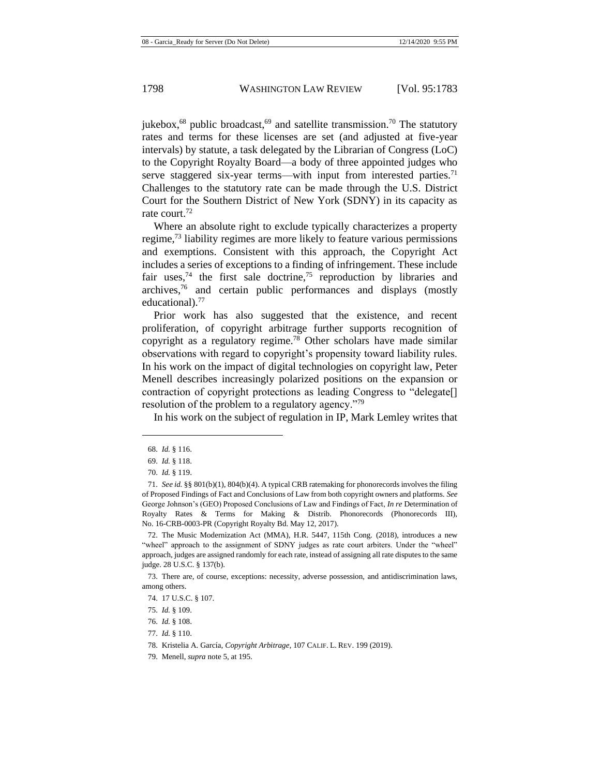jukebox, $68$  public broadcast, $69$  and satellite transmission.<sup>70</sup> The statutory rates and terms for these licenses are set (and adjusted at five-year intervals) by statute, a task delegated by the Librarian of Congress (LoC) to the Copyright Royalty Board—a body of three appointed judges who serve staggered six-year terms—with input from interested parties.<sup>71</sup> Challenges to the statutory rate can be made through the U.S. District Court for the Southern District of New York (SDNY) in its capacity as rate court.<sup>72</sup>

Where an absolute right to exclude typically characterizes a property regime, $^{73}$  liability regimes are more likely to feature various permissions and exemptions. Consistent with this approach, the Copyright Act includes a series of exceptions to a finding of infringement. These include fair uses,<sup>74</sup> the first sale doctrine,<sup>75</sup> reproduction by libraries and archives,<sup>76</sup> and certain public performances and displays (mostly educational).<sup>77</sup>

Prior work has also suggested that the existence, and recent proliferation, of copyright arbitrage further supports recognition of copyright as a regulatory regime.<sup>78</sup> Other scholars have made similar observations with regard to copyright's propensity toward liability rules. In his work on the impact of digital technologies on copyright law, Peter Menell describes increasingly polarized positions on the expansion or contraction of copyright protections as leading Congress to "delegate[] resolution of the problem to a regulatory agency."<sup>79</sup>

In his work on the subject of regulation in IP, Mark Lemley writes that

<sup>68.</sup> *Id.* § 116.

<sup>69.</sup> *Id.* § 118.

<sup>70.</sup> *Id.* § 119.

<sup>71.</sup> *See id.* §§ 801(b)(1), 804(b)(4). A typical CRB ratemaking for phonorecords involves the filing of Proposed Findings of Fact and Conclusions of Law from both copyright owners and platforms. *See* George Johnson's (GEO) Proposed Conclusions of Law and Findings of Fact, *In re* Determination of Royalty Rates & Terms for Making & Distrib. Phonorecords (Phonorecords III), No. 16-CRB-0003-PR (Copyright Royalty Bd. May 12, 2017).

<sup>72.</sup> The Music Modernization Act (MMA), H.R. 5447, 115th Cong. (2018), introduces a new "wheel" approach to the assignment of SDNY judges as rate court arbiters. Under the "wheel" approach, judges are assigned randomly for each rate, instead of assigning all rate disputes to the same judge. 28 U.S.C. § 137(b).

<sup>73.</sup> There are, of course, exceptions: necessity, adverse possession, and antidiscrimination laws, among others.

<sup>74.</sup> 17 U.S.C. § 107.

<sup>75.</sup> *Id.* § 109.

<sup>76.</sup> *Id.* § 108.

<sup>77.</sup> *Id.* § 110.

<sup>78.</sup> Kristelia A. García, *Copyright Arbitrage*, 107 CALIF. L. REV. 199 (2019).

<sup>79.</sup> Menell, *supra* note [5,](#page-3-1) at 195.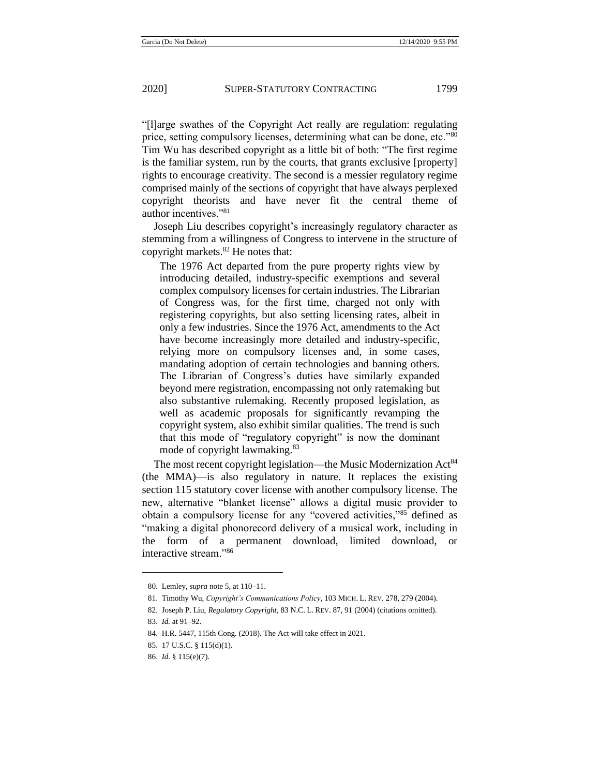"[l]arge swathes of the Copyright Act really are regulation: regulating price, setting compulsory licenses, determining what can be done, etc."<sup>80</sup> Tim Wu has described copyright as a little bit of both: "The first regime is the familiar system, run by the courts, that grants exclusive [property] rights to encourage creativity. The second is a messier regulatory regime comprised mainly of the sections of copyright that have always perplexed copyright theorists and have never fit the central theme of author incentives."<sup>81</sup>

Joseph Liu describes copyright's increasingly regulatory character as stemming from a willingness of Congress to intervene in the structure of copyright markets.<sup>82</sup> He notes that:

The 1976 Act departed from the pure property rights view by introducing detailed, industry-specific exemptions and several complex compulsory licenses for certain industries. The Librarian of Congress was, for the first time, charged not only with registering copyrights, but also setting licensing rates, albeit in only a few industries. Since the 1976 Act, amendments to the Act have become increasingly more detailed and industry-specific, relying more on compulsory licenses and, in some cases, mandating adoption of certain technologies and banning others. The Librarian of Congress's duties have similarly expanded beyond mere registration, encompassing not only ratemaking but also substantive rulemaking. Recently proposed legislation, as well as academic proposals for significantly revamping the copyright system, also exhibit similar qualities. The trend is such that this mode of "regulatory copyright" is now the dominant mode of copyright lawmaking.<sup>83</sup>

The most recent copyright legislation—the Music Modernization Act<sup>84</sup> (the MMA)—is also regulatory in nature. It replaces the existing section 115 statutory cover license with another compulsory license. The new, alternative "blanket license" allows a digital music provider to obtain a compulsory license for any "covered activities,"<sup>85</sup> defined as "making a digital phonorecord delivery of a musical work, including in the form of a permanent download, limited download, or interactive stream."<sup>86</sup>

<sup>80.</sup> Lemley, *supra* note [5,](#page-3-1) at 110–11.

<sup>81.</sup> Timothy Wu, *Copyright's Communications Policy*, 103 MICH. L. REV. 278, 279 (2004).

<sup>82.</sup> Joseph P. Liu, *Regulatory Copyright*, 83 N.C. L. REV. 87, 91 (2004) (citations omitted).

<sup>83.</sup> *Id.* at 91–92.

<sup>84.</sup> H.R. 5447, 115th Cong. (2018). The Act will take effect in 2021.

<sup>85.</sup> 17 U.S.C. § 115(d)(1).

<sup>86.</sup> *Id.* § 115(e)(7).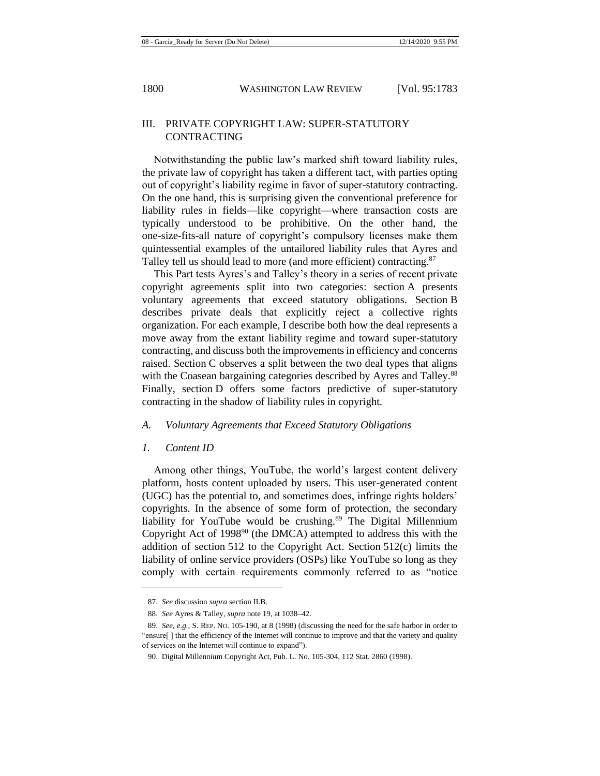## III. PRIVATE COPYRIGHT LAW: SUPER-STATUTORY CONTRACTING

Notwithstanding the public law's marked shift toward liability rules, the private law of copyright has taken a different tact, with parties opting out of copyright's liability regime in favor of super-statutory contracting. On the one hand, this is surprising given the conventional preference for liability rules in fields—like copyright—where transaction costs are typically understood to be prohibitive. On the other hand, the one-size-fits-all nature of copyright's compulsory licenses make them quintessential examples of the untailored liability rules that Ayres and Talley tell us should lead to more (and more efficient) contracting.<sup>87</sup>

This Part tests Ayres's and Talley's theory in a series of recent private copyright agreements split into two categories: section A presents voluntary agreements that exceed statutory obligations. Section B describes private deals that explicitly reject a collective rights organization. For each example, I describe both how the deal represents a move away from the extant liability regime and toward super-statutory contracting, and discuss both the improvements in efficiency and concerns raised. Section C observes a split between the two deal types that aligns with the Coasean bargaining categories described by Ayres and Talley.<sup>88</sup> Finally, section D offers some factors predictive of super-statutory contracting in the shadow of liability rules in copyright.

#### *A. Voluntary Agreements that Exceed Statutory Obligations*

#### *1. Content ID*

Among other things, YouTube, the world's largest content delivery platform, hosts content uploaded by users. This user-generated content (UGC) has the potential to, and sometimes does, infringe rights holders' copyrights. In the absence of some form of protection, the secondary liability for YouTube would be crushing.<sup>89</sup> The Digital Millennium Copyright Act of  $1998<sup>90</sup>$  (the DMCA) attempted to address this with the addition of section 512 to the Copyright Act. Section 512(c) limits the liability of online service providers (OSPs) like YouTube so long as they comply with certain requirements commonly referred to as "notice

<sup>87.</sup> *See* discussion *supra* section II.B.

<sup>88.</sup> *See* Ayres & Talley, *supra* note [19,](#page-5-0) at 1038–42.

<sup>89.</sup> *See, e.g.*, S. REP. NO. 105-190, at 8 (1998) (discussing the need for the safe harbor in order to "ensure[ ] that the efficiency of the Internet will continue to improve and that the variety and quality of services on the Internet will continue to expand").

<sup>90.</sup> Digital Millennium Copyright Act, Pub. L. No. 105-304, 112 Stat. 2860 (1998).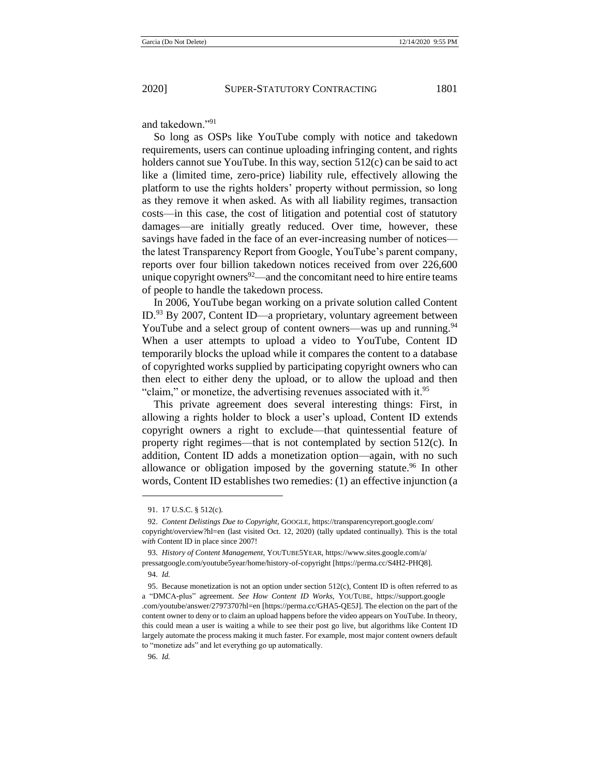and takedown."<sup>91</sup>

So long as OSPs like YouTube comply with notice and takedown requirements, users can continue uploading infringing content, and rights holders cannot sue YouTube. In this way, section 512(c) can be said to act like a (limited time, zero-price) liability rule, effectively allowing the platform to use the rights holders' property without permission, so long as they remove it when asked. As with all liability regimes, transaction costs—in this case, the cost of litigation and potential cost of statutory damages—are initially greatly reduced. Over time, however, these savings have faded in the face of an ever-increasing number of notices the latest Transparency Report from Google, YouTube's parent company, reports over four billion takedown notices received from over 226,600 unique copyright owners $92$ —and the concomitant need to hire entire teams of people to handle the takedown process.

In 2006, YouTube began working on a private solution called Content ID.<sup>93</sup> By 2007, Content ID—a proprietary, voluntary agreement between YouTube and a select group of content owners—was up and running.<sup>94</sup> When a user attempts to upload a video to YouTube, Content ID temporarily blocks the upload while it compares the content to a database of copyrighted works supplied by participating copyright owners who can then elect to either deny the upload, or to allow the upload and then "claim," or monetize, the advertising revenues associated with it. $95$ 

This private agreement does several interesting things: First, in allowing a rights holder to block a user's upload, Content ID extends copyright owners a right to exclude—that quintessential feature of property right regimes—that is not contemplated by section 512(c). In addition, Content ID adds a monetization option—again, with no such allowance or obligation imposed by the governing statute.<sup>96</sup> In other words, Content ID establishes two remedies: (1) an effective injunction (a

<sup>91.</sup> 17 U.S.C. § 512(c).

<sup>92.</sup> *Content Delistings Due to Copyright*, GOOGLE, https://transparencyreport.google.com/ copyright/overview?hl=en (last visited Oct. 12, 2020) (tally updated continually). This is the total *with* Content ID in place since 2007!

<sup>93.</sup> *History of Content Management*, YOUTUBE5YEAR, https://www.sites.google.com/a/ pressatgoogle.com/youtube5year/home/history-of-copyright [https://perma.cc/S4H2-PHQ8].

<sup>94.</sup> *Id.*

<sup>95.</sup> Because monetization is not an option under section 512(c), Content ID is often referred to as a "DMCA-plus" agreement. *See How Content ID Works*, YOUTUBE, https://support.google .com/youtube/answer/2797370?hl=en [https://perma.cc/GHA5-QE5J]. The election on the part of the content owner to deny or to claim an upload happens before the video appears on YouTube. In theory, this could mean a user is waiting a while to see their post go live, but algorithms like Content ID largely automate the process making it much faster. For example, most major content owners default to "monetize ads" and let everything go up automatically.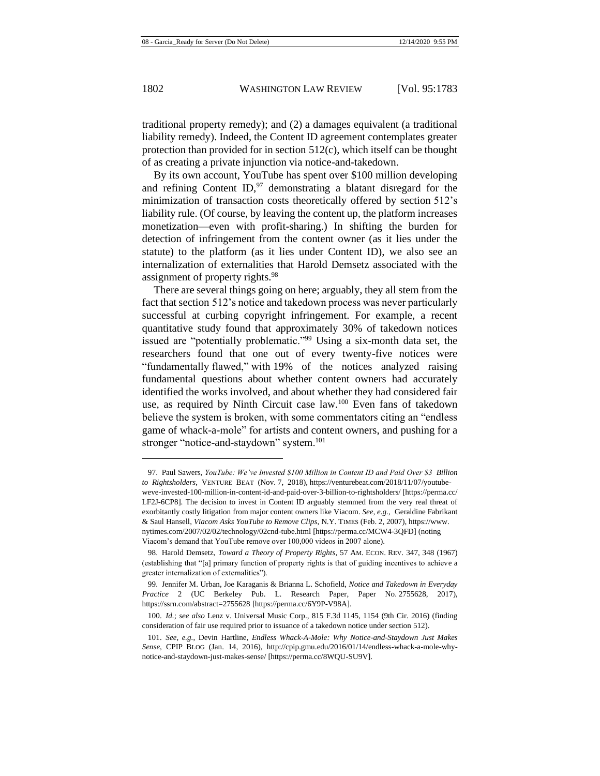traditional property remedy); and (2) a damages equivalent (a traditional liability remedy). Indeed, the Content ID agreement contemplates greater protection than provided for in section 512(c), which itself can be thought of as creating a private injunction via notice-and-takedown.

By its own account, YouTube has spent over \$100 million developing and refining Content ID, $97$  demonstrating a blatant disregard for the minimization of transaction costs theoretically offered by section 512's liability rule. (Of course, by leaving the content up, the platform increases monetization—even with profit-sharing.) In shifting the burden for detection of infringement from the content owner (as it lies under the statute) to the platform (as it lies under Content ID), we also see an internalization of externalities that Harold Demsetz associated with the assignment of property rights.<sup>98</sup>

There are several things going on here; arguably, they all stem from the fact that section 512's notice and takedown process was never particularly successful at curbing copyright infringement. For example, a recent quantitative study found that approximately 30% of takedown notices issued are "potentially problematic."<sup>99</sup> Using a six-month data set, the researchers found that one out of every twenty-five notices were "fundamentally flawed," with 19% of the notices analyzed raising fundamental questions about whether content owners had accurately identified the works involved, and about whether they had considered fair use, as required by Ninth Circuit case law.<sup>100</sup> Even fans of takedown believe the system is broken, with some commentators citing an "endless game of whack-a-mole" for artists and content owners, and pushing for a stronger "notice-and-staydown" system.<sup>101</sup>

<sup>97.</sup> Paul Sawers, *YouTube: We've Invested \$100 Million in Content ID and Paid Over \$3 Billion to Rightsholders*, VENTURE BEAT (Nov. 7, 2018), https://venturebeat.com/2018/11/07/youtubeweve-invested-100-million-in-content-id-and-paid-over-3-billion-to-rightsholders/ [https://perma.cc/ LF2J-6CP8]. The decision to invest in Content ID arguably stemmed from the very real threat of exorbitantly costly litigation from major content owners like Viacom. *See, e.g.*, Geraldine Fabrikant & Saul Hansell, *Viacom Asks YouTube to Remove Clips*, N.Y. TIMES (Feb. 2, 2007), https://www. nytimes.com/2007/02/02/technology/02cnd-tube.html [https://perma.cc/MCW4-3QFD] (noting Viacom's demand that YouTube remove over 100,000 videos in 2007 alone).

<sup>98.</sup> Harold Demsetz, *Toward a Theory of Property Rights*, 57 AM. ECON. REV. 347, 348 (1967) (establishing that "[a] primary function of property rights is that of guiding incentives to achieve a greater internalization of externalities").

<sup>99.</sup> Jennifer M. Urban, Joe Karaganis & Brianna L. Schofield, *Notice and Takedown in Everyday Practice* 2 (UC Berkeley Pub. L. Research Paper, Paper No. 2755628, 2017), https://ssrn.com/abstract=2755628 [https://perma.cc/6Y9P-V98A].

<sup>100.</sup> *Id.*; *see also* Lenz v. Universal Music Corp., 815 F.3d 1145, 1154 (9th Cir. 2016) (finding consideration of fair use required prior to issuance of a takedown notice under section 512).

<sup>101.</sup> *See, e.g.*, Devin Hartline, *Endless Whack-A-Mole: Why Notice-and-Staydown Just Makes Sense*, CPIP BLOG (Jan. 14, 2016), http://cpip.gmu.edu/2016/01/14/endless-whack-a-mole-whynotice-and-staydown-just-makes-sense/ [https://perma.cc/8WQU-SU9V].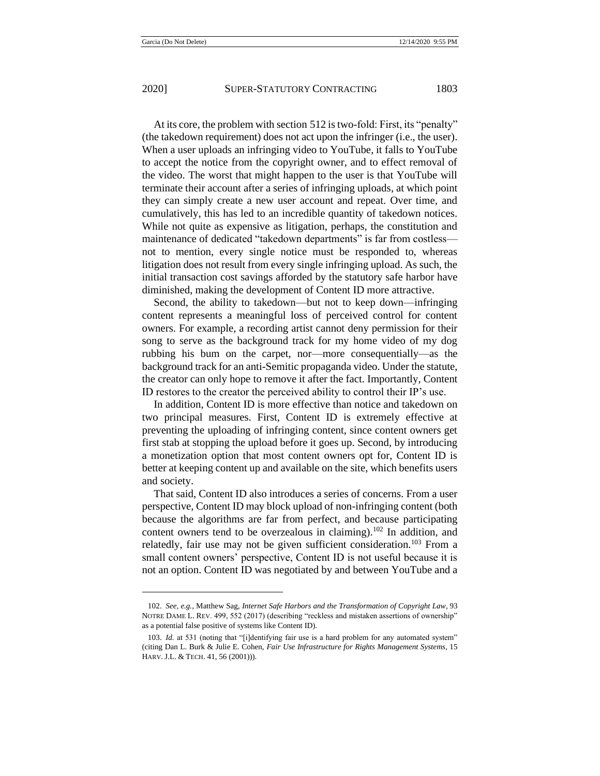At its core, the problem with section 512 is two-fold: First, its "penalty" (the takedown requirement) does not act upon the infringer (i.e., the user). When a user uploads an infringing video to YouTube, it falls to YouTube to accept the notice from the copyright owner, and to effect removal of the video. The worst that might happen to the user is that YouTube will terminate their account after a series of infringing uploads, at which point they can simply create a new user account and repeat. Over time, and cumulatively, this has led to an incredible quantity of takedown notices. While not quite as expensive as litigation, perhaps, the constitution and maintenance of dedicated "takedown departments" is far from costless not to mention, every single notice must be responded to, whereas litigation does not result from every single infringing upload. As such, the initial transaction cost savings afforded by the statutory safe harbor have diminished, making the development of Content ID more attractive.

Second, the ability to takedown—but not to keep down—infringing content represents a meaningful loss of perceived control for content owners. For example, a recording artist cannot deny permission for their song to serve as the background track for my home video of my dog rubbing his bum on the carpet, nor—more consequentially—as the background track for an anti-Semitic propaganda video. Under the statute, the creator can only hope to remove it after the fact. Importantly, Content ID restores to the creator the perceived ability to control their IP's use.

In addition, Content ID is more effective than notice and takedown on two principal measures. First, Content ID is extremely effective at preventing the uploading of infringing content, since content owners get first stab at stopping the upload before it goes up. Second, by introducing a monetization option that most content owners opt for, Content ID is better at keeping content up and available on the site, which benefits users and society.

That said, Content ID also introduces a series of concerns. From a user perspective, Content ID may block upload of non-infringing content (both because the algorithms are far from perfect, and because participating content owners tend to be overzealous in claiming).<sup>102</sup> In addition, and relatedly, fair use may not be given sufficient consideration.<sup>103</sup> From a small content owners' perspective, Content ID is not useful because it is not an option. Content ID was negotiated by and between YouTube and a

<sup>102.</sup> *See, e.g.*, Matthew Sag, *Internet Safe Harbors and the Transformation of Copyright Law*, 93 NOTRE DAME L. REV. 499, 552 (2017) (describing "reckless and mistaken assertions of ownership" as a potential false positive of systems like Content ID).

<sup>103.</sup> *Id.* at 531 (noting that "[i]dentifying fair use is a hard problem for any automated system" (citing Dan L. Burk & Julie E. Cohen, *Fair Use Infrastructure for Rights Management Systems*, 15 HARV. J.L. & TECH. 41, 56 (2001))).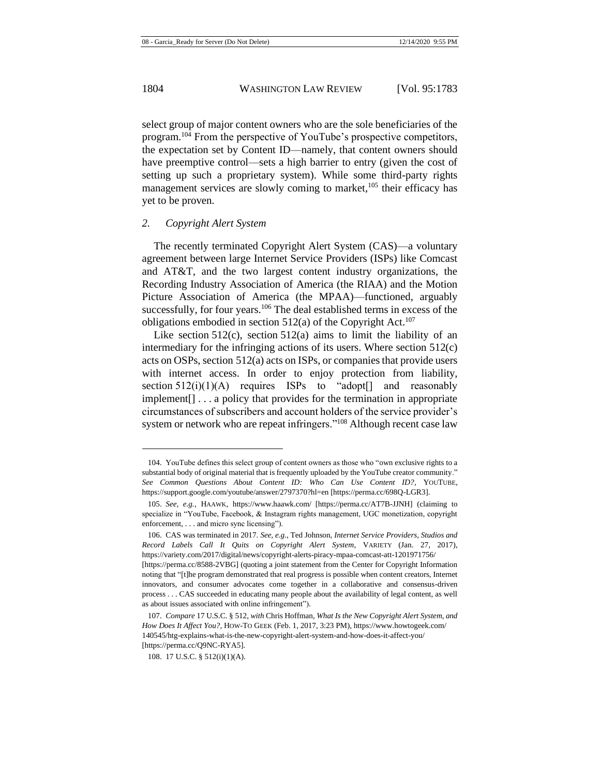select group of major content owners who are the sole beneficiaries of the program.<sup>104</sup> From the perspective of YouTube's prospective competitors, the expectation set by Content ID—namely, that content owners should have preemptive control—sets a high barrier to entry (given the cost of setting up such a proprietary system). While some third-party rights management services are slowly coming to market, $105$  their efficacy has yet to be proven.

### *2. Copyright Alert System*

The recently terminated Copyright Alert System (CAS)—a voluntary agreement between large Internet Service Providers (ISPs) like Comcast and AT&T, and the two largest content industry organizations, the Recording Industry Association of America (the RIAA) and the Motion Picture Association of America (the MPAA)—functioned, arguably successfully, for four years.<sup>106</sup> The deal established terms in excess of the obligations embodied in section  $512(a)$  of the Copyright Act.<sup>107</sup>

<span id="page-22-0"></span>Like section  $512(c)$ , section  $512(a)$  aims to limit the liability of an intermediary for the infringing actions of its users. Where section 512(c) acts on OSPs, section 512(a) acts on ISPs, or companies that provide users with internet access. In order to enjoy protection from liability, section  $512(i)(1)(A)$  requires ISPs to "adopt<sup>[]</sup> and reasonably implement[] . . . a policy that provides for the termination in appropriate circumstances of subscribers and account holders of the service provider's system or network who are repeat infringers."<sup>108</sup> Although recent case law

as about issues associated with online infringement").

<sup>104.</sup> YouTube defines this select group of content owners as those who "own exclusive rights to a substantial body of original material that is frequently uploaded by the YouTube creator community." *See Common Questions About Content ID: Who Can Use Content ID?*, YOUTUBE, https://support.google.com/youtube/answer/2797370?hl=en [https://perma.cc/698Q-LGR3].

<sup>105.</sup> *See, e.g.*, HAAWK, https://www.haawk.com/ [https://perma.cc/AT7B-JJNH] (claiming to specialize in "YouTube, Facebook, & Instagram rights management, UGC monetization, copyright enforcement, . . . and micro sync licensing").

<sup>106.</sup> CAS was terminated in 2017. *See, e.g.*, Ted Johnson, *Internet Service Providers, Studios and Record Labels Call It Quits on Copyright Alert System*, VARIETY (Jan. 27, 2017), https://variety.com/2017/digital/news/copyright-alerts-piracy-mpaa-comcast-att-1201971756/ [https://perma.cc/8588-2VBG] (quoting a joint statement from the Center for Copyright Information noting that "[t]he program demonstrated that real progress is possible when content creators, Internet innovators, and consumer advocates come together in a collaborative and consensus-driven process . . . CAS succeeded in educating many people about the availability of legal content, as well

<sup>107.</sup> *Compare* 17 U.S.C. § 512, *with* Chris Hoffman, *What Is the New Copyright Alert System, and How Does It Affect You?*, HOW-TO GEEK (Feb. 1, 2017, 3:23 PM), https://www.howtogeek.com/ 140545/htg-explains-what-is-the-new-copyright-alert-system-and-how-does-it-affect-you/ [https://perma.cc/Q9NC-RYA5].

<sup>108.</sup> 17 U.S.C. § 512(i)(1)(A).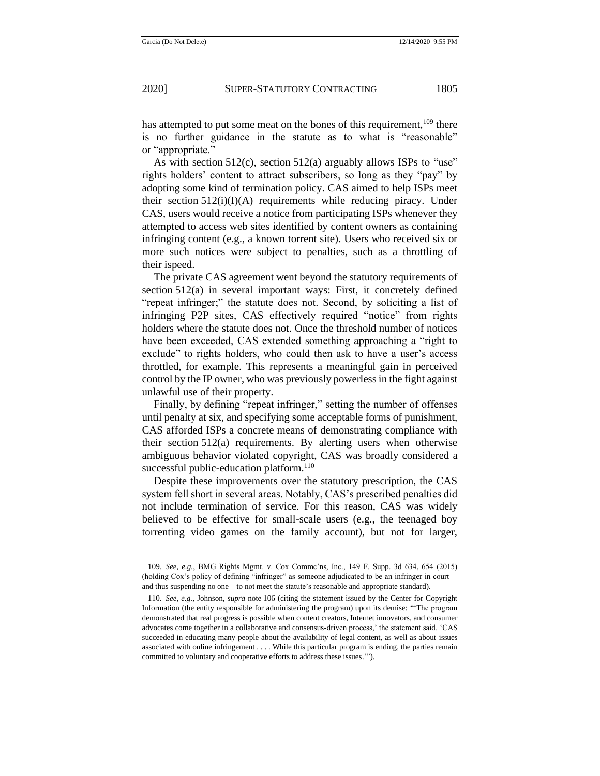has attempted to put some meat on the bones of this requirement,<sup>109</sup> there is no further guidance in the statute as to what is "reasonable" or "appropriate."

As with section 512(c), section 512(a) arguably allows ISPs to "use" rights holders' content to attract subscribers, so long as they "pay" by adopting some kind of termination policy. CAS aimed to help ISPs meet their section  $512(i)(I)(A)$  requirements while reducing piracy. Under CAS, users would receive a notice from participating ISPs whenever they attempted to access web sites identified by content owners as containing infringing content (e.g., a known torrent site). Users who received six or more such notices were subject to penalties, such as a throttling of their ispeed.

The private CAS agreement went beyond the statutory requirements of section 512(a) in several important ways: First, it concretely defined "repeat infringer;" the statute does not. Second, by soliciting a list of infringing P2P sites, CAS effectively required "notice" from rights holders where the statute does not. Once the threshold number of notices have been exceeded, CAS extended something approaching a "right to exclude" to rights holders, who could then ask to have a user's access throttled, for example. This represents a meaningful gain in perceived control by the IP owner, who was previously powerless in the fight against unlawful use of their property.

Finally, by defining "repeat infringer," setting the number of offenses until penalty at six, and specifying some acceptable forms of punishment, CAS afforded ISPs a concrete means of demonstrating compliance with their section 512(a) requirements. By alerting users when otherwise ambiguous behavior violated copyright, CAS was broadly considered a successful public-education platform.<sup>110</sup>

Despite these improvements over the statutory prescription, the CAS system fell short in several areas. Notably, CAS's prescribed penalties did not include termination of service. For this reason, CAS was widely believed to be effective for small-scale users (e.g., the teenaged boy torrenting video games on the family account), but not for larger,

<sup>109.</sup> *See, e.g.*, BMG Rights Mgmt. v. Cox Commc'ns, Inc., 149 F. Supp. 3d 634, 654 (2015) (holding Cox's policy of defining "infringer" as someone adjudicated to be an infringer in court and thus suspending no one—to not meet the statute's reasonable and appropriate standard).

<sup>110.</sup> *See, e.g.*, Johnson, *supra* note [106](#page-22-0) (citing the statement issued by the Center for Copyright Information (the entity responsible for administering the program) upon its demise: "'The program demonstrated that real progress is possible when content creators, Internet innovators, and consumer advocates come together in a collaborative and consensus-driven process,' the statement said. 'CAS succeeded in educating many people about the availability of legal content, as well as about issues associated with online infringement . . . . While this particular program is ending, the parties remain committed to voluntary and cooperative efforts to address these issues.'").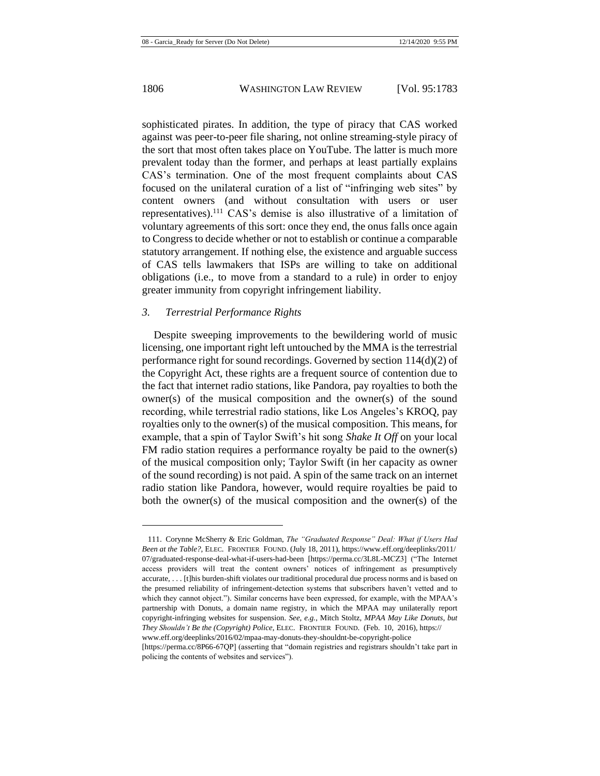sophisticated pirates. In addition, the type of piracy that CAS worked against was peer-to-peer file sharing, not online streaming-style piracy of the sort that most often takes place on YouTube. The latter is much more prevalent today than the former, and perhaps at least partially explains CAS's termination. One of the most frequent complaints about CAS focused on the unilateral curation of a list of "infringing web sites" by content owners (and without consultation with users or user representatives).<sup>111</sup> CAS's demise is also illustrative of a limitation of voluntary agreements of this sort: once they end, the onus falls once again to Congress to decide whether or not to establish or continue a comparable statutory arrangement. If nothing else, the existence and arguable success of CAS tells lawmakers that ISPs are willing to take on additional obligations (i.e., to move from a standard to a rule) in order to enjoy greater immunity from copyright infringement liability.

### *3. Terrestrial Performance Rights*

Despite sweeping improvements to the bewildering world of music licensing, one important right left untouched by the MMA is the terrestrial performance right for sound recordings. Governed by section 114(d)(2) of the Copyright Act, these rights are a frequent source of contention due to the fact that internet radio stations, like Pandora, pay royalties to both the owner(s) of the musical composition and the owner(s) of the sound recording, while terrestrial radio stations, like Los Angeles's KROQ, pay royalties only to the owner(s) of the musical composition. This means, for example, that a spin of Taylor Swift's hit song *Shake It Off* on your local FM radio station requires a performance royalty be paid to the owner(s) of the musical composition only; Taylor Swift (in her capacity as owner of the sound recording) is not paid. A spin of the same track on an internet radio station like Pandora, however, would require royalties be paid to both the owner(s) of the musical composition and the owner(s) of the

<sup>111.</sup> Corynne McSherry & Eric Goldman, *The "Graduated Response" Deal: What if Users Had Been at the Table?*, ELEC. FRONTIER FOUND. (July 18, 2011), https://www.eff.org/deeplinks/2011/ 07/graduated-response-deal-what-if-users-had-been [https://perma.cc/3L8L-MCZ3] ("The Internet access providers will treat the content owners' notices of infringement as presumptively accurate, . . . [t]his burden-shift violates our traditional procedural due process norms and is based on the presumed reliability of infringement-detection systems that subscribers haven't vetted and to which they cannot object."). Similar concerns have been expressed, for example, with the MPAA's partnership with Donuts, a domain name registry, in which the MPAA may unilaterally report copyright-infringing websites for suspension. *See, e.g.*, Mitch Stoltz, *MPAA May Like Donuts, but They Shouldn't Be the (Copyright) Police*, ELEC. FRONTIER FOUND. (Feb. 10, 2016), https:// www.eff.org/deeplinks/2016/02/mpaa-may-donuts-they-shouldnt-be-copyright-police

<sup>[</sup>https://perma.cc/8P66-67QP] (asserting that "domain registries and registrars shouldn't take part in policing the contents of websites and services").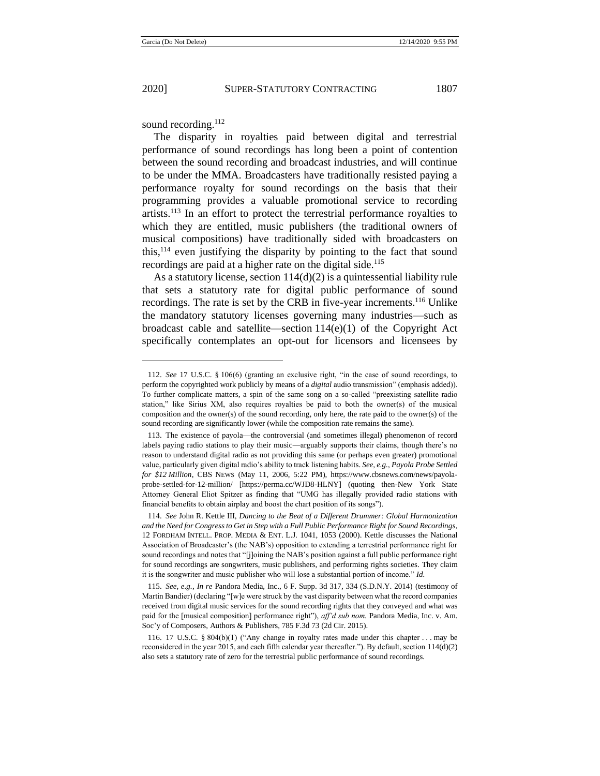sound recording.<sup>112</sup>

The disparity in royalties paid between digital and terrestrial performance of sound recordings has long been a point of contention between the sound recording and broadcast industries, and will continue to be under the MMA. Broadcasters have traditionally resisted paying a performance royalty for sound recordings on the basis that their programming provides a valuable promotional service to recording  $artists$ <sup>113</sup>. In an effort to protect the terrestrial performance royalties to which they are entitled, music publishers (the traditional owners of musical compositions) have traditionally sided with broadcasters on this,  $114$  even justifying the disparity by pointing to the fact that sound recordings are paid at a higher rate on the digital side.<sup>115</sup>

As a statutory license, section  $114(d)(2)$  is a quintessential liability rule that sets a statutory rate for digital public performance of sound recordings. The rate is set by the CRB in five-year increments.<sup>116</sup> Unlike the mandatory statutory licenses governing many industries—such as broadcast cable and satellite—section  $114(e)(1)$  of the Copyright Act specifically contemplates an opt-out for licensors and licensees by

<sup>112.</sup> *See* 17 U.S.C. § 106(6) (granting an exclusive right, "in the case of sound recordings, to perform the copyrighted work publicly by means of a *digital* audio transmission" (emphasis added)). To further complicate matters, a spin of the same song on a so-called "preexisting satellite radio station," like Sirius XM, also requires royalties be paid to both the owner(s) of the musical composition and the owner(s) of the sound recording, only here, the rate paid to the owner(s) of the sound recording are significantly lower (while the composition rate remains the same).

<sup>113.</sup> The existence of payola—the controversial (and sometimes illegal) phenomenon of record labels paying radio stations to play their music—arguably supports their claims, though there's no reason to understand digital radio as not providing this same (or perhaps even greater) promotional value, particularly given digital radio's ability to track listening habits. *See, e.g.*, *Payola Probe Settled for \$12 Million*, CBS NEWS (May 11, 2006, 5:22 PM), https://www.cbsnews.com/news/payolaprobe-settled-for-12-million/ [https://perma.cc/WJD8-HLNY] (quoting then-New York State Attorney General Eliot Spitzer as finding that "UMG has illegally provided radio stations with financial benefits to obtain airplay and boost the chart position of its songs").

<sup>114.</sup> *See* John R. Kettle III, *Dancing to the Beat of a Different Drummer: Global Harmonization and the Need for Congress to Get in Step with a Full Public Performance Right for Sound Recordings*, 12 FORDHAM INTELL. PROP. MEDIA & ENT. L.J. 1041, 1053 (2000). Kettle discusses the National Association of Broadcaster's (the NAB's) opposition to extending a terrestrial performance right for sound recordings and notes that "[j]oining the NAB's position against a full public performance right for sound recordings are songwriters, music publishers, and performing rights societies. They claim it is the songwriter and music publisher who will lose a substantial portion of income." *Id.*

<sup>115.</sup> *See, e.g.*, *In re* Pandora Media, Inc., 6 F. Supp. 3d 317, 334 (S.D.N.Y. 2014) (testimony of Martin Bandier) (declaring "[w]e were struck by the vast disparity between what the record companies received from digital music services for the sound recording rights that they conveyed and what was paid for the [musical composition] performance right"), *aff'd sub nom.* Pandora Media, Inc. v. Am. Soc'y of Composers, Authors & Publishers, 785 F.3d 73 (2d Cir. 2015).

<sup>116.</sup> 17 U.S.C. § 804(b)(1) ("Any change in royalty rates made under this chapter . . . may be reconsidered in the year 2015, and each fifth calendar year thereafter."). By default, section 114(d)(2) also sets a statutory rate of zero for the terrestrial public performance of sound recordings.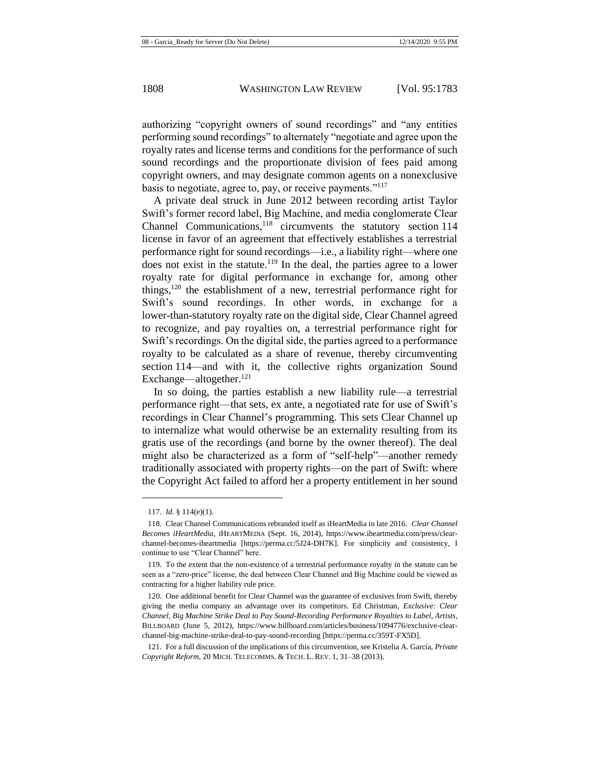authorizing "copyright owners of sound recordings" and "any entities performing sound recordings" to alternately "negotiate and agree upon the royalty rates and license terms and conditions for the performance of such sound recordings and the proportionate division of fees paid among copyright owners, and may designate common agents on a nonexclusive basis to negotiate, agree to, pay, or receive payments."<sup>117</sup>

<span id="page-26-0"></span>A private deal struck in June 2012 between recording artist Taylor Swift's former record label, Big Machine, and media conglomerate Clear Channel Communications,<sup>118</sup> circumvents the statutory section 114 license in favor of an agreement that effectively establishes a terrestrial performance right for sound recordings—i.e., a liability right—where one does not exist in the statute.<sup>119</sup> In the deal, the parties agree to a lower royalty rate for digital performance in exchange for, among other things, $120$  the establishment of a new, terrestrial performance right for Swift's sound recordings. In other words, in exchange for a lower-than-statutory royalty rate on the digital side, Clear Channel agreed to recognize, and pay royalties on, a terrestrial performance right for Swift's recordings. On the digital side, the parties agreed to a performance royalty to be calculated as a share of revenue, thereby circumventing section 114—and with it, the collective rights organization Sound Exchange—altogether.<sup>121</sup>

In so doing, the parties establish a new liability rule—a terrestrial performance right—that sets, ex ante, a negotiated rate for use of Swift's recordings in Clear Channel's programming. This sets Clear Channel up to internalize what would otherwise be an externality resulting from its gratis use of the recordings (and borne by the owner thereof). The deal might also be characterized as a form of "self-help"—another remedy traditionally associated with property rights—on the part of Swift: where the Copyright Act failed to afford her a property entitlement in her sound

<sup>117.</sup> *Id.* § 114(e)(1).

<sup>118.</sup> Clear Channel Communications rebranded itself as iHeartMedia in late 2016. *Clear Channel Becomes iHeartMedia*, IHEARTMEDIA (Sept. 16, 2014), https://www.iheartmedia.com/press/clearchannel-becomes-iheartmedia [https://perma.cc/5J24-DH7K]. For simplicity and consistency, I continue to use "Clear Channel" here.

<sup>119.</sup> To the extent that the non-existence of a terrestrial performance royalty in the statute can be seen as a "zero-price" license, the deal between Clear Channel and Big Machine could be viewed as contracting for a higher liability rule price.

<sup>120.</sup> One additional benefit for Clear Channel was the guarantee of exclusives from Swift, thereby giving the media company an advantage over its competitors. Ed Christman, *Exclusive: Clear Channel, Big Machine Strike Deal to Pay Sound-Recording Performance Royalties to Label, Artists*, BILLBOARD (June 5, 2012), https://www.billboard.com/articles/business/1094776/exclusive-clearchannel-big-machine-strike-deal-to-pay-sound-recording [https://perma.cc/359T-FX5D].

<sup>121.</sup> For a full discussion of the implications of this circumvention, see Kristelia A. García, *Private Copyright Reform*, 20 MICH. TELECOMMS. & TECH. L. REV. 1, 31–38 (2013).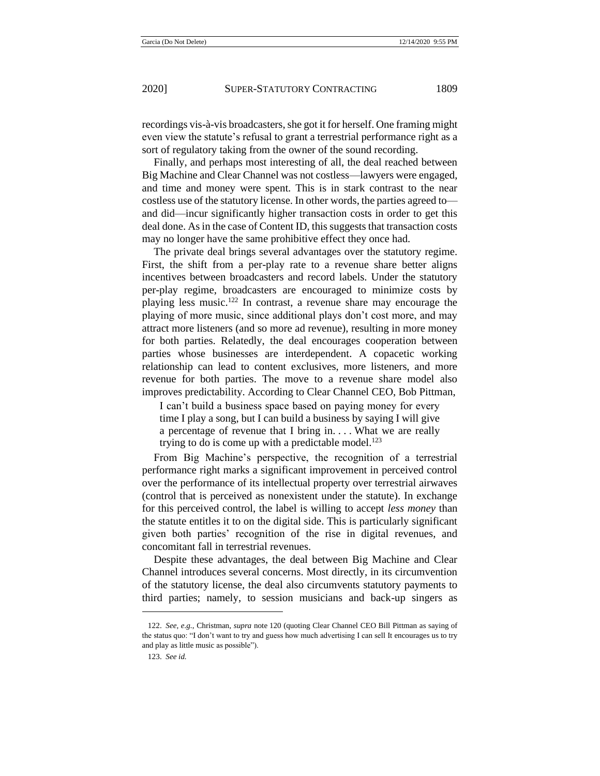recordings vis-à-vis broadcasters, she got it for herself. One framing might even view the statute's refusal to grant a terrestrial performance right as a sort of regulatory taking from the owner of the sound recording.

Finally, and perhaps most interesting of all, the deal reached between Big Machine and Clear Channel was not costless—lawyers were engaged, and time and money were spent. This is in stark contrast to the near costless use of the statutory license. In other words, the parties agreed to and did—incur significantly higher transaction costs in order to get this deal done. As in the case of Content ID, this suggests that transaction costs may no longer have the same prohibitive effect they once had.

The private deal brings several advantages over the statutory regime. First, the shift from a per-play rate to a revenue share better aligns incentives between broadcasters and record labels. Under the statutory per-play regime, broadcasters are encouraged to minimize costs by playing less music.<sup>122</sup> In contrast, a revenue share may encourage the playing of more music, since additional plays don't cost more, and may attract more listeners (and so more ad revenue), resulting in more money for both parties. Relatedly, the deal encourages cooperation between parties whose businesses are interdependent. A copacetic working relationship can lead to content exclusives, more listeners, and more revenue for both parties. The move to a revenue share model also improves predictability. According to Clear Channel CEO, Bob Pittman,

I can't build a business space based on paying money for every time I play a song, but I can build a business by saying I will give a percentage of revenue that I bring in. . . . What we are really trying to do is come up with a predictable model.<sup>123</sup>

From Big Machine's perspective, the recognition of a terrestrial performance right marks a significant improvement in perceived control over the performance of its intellectual property over terrestrial airwaves (control that is perceived as nonexistent under the statute). In exchange for this perceived control, the label is willing to accept *less money* than the statute entitles it to on the digital side. This is particularly significant given both parties' recognition of the rise in digital revenues, and concomitant fall in terrestrial revenues.

Despite these advantages, the deal between Big Machine and Clear Channel introduces several concerns. Most directly, in its circumvention of the statutory license, the deal also circumvents statutory payments to third parties; namely, to session musicians and back-up singers as

<sup>122.</sup> *See, e.g.*, Christman, *supra* note [120](#page-26-0) (quoting Clear Channel CEO Bill Pittman as saying of the status quo: "I don't want to try and guess how much advertising I can sell It encourages us to try and play as little music as possible").

<sup>123.</sup> *See id.*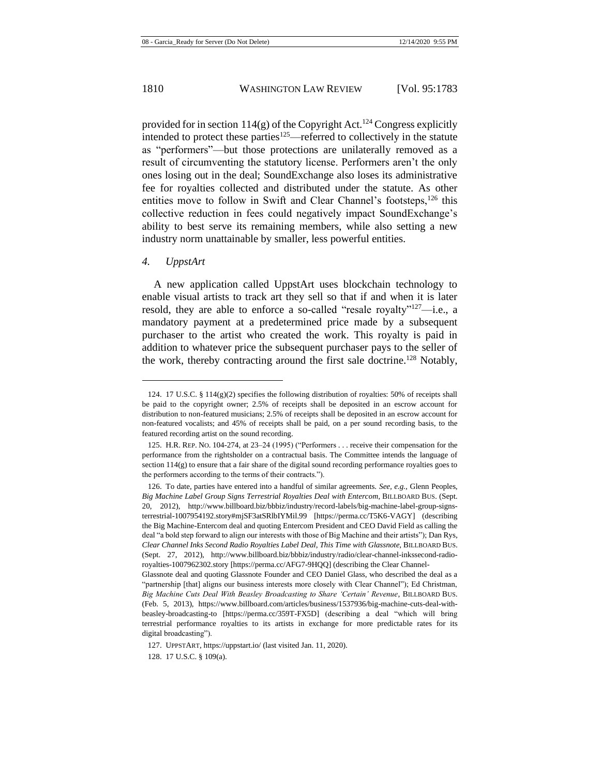provided for in section  $114(g)$  of the Copyright Act.<sup>124</sup> Congress explicitly intended to protect these parties<sup>125</sup>—referred to collectively in the statute as "performers"—but those protections are unilaterally removed as a result of circumventing the statutory license. Performers aren't the only ones losing out in the deal; SoundExchange also loses its administrative fee for royalties collected and distributed under the statute. As other entities move to follow in Swift and Clear Channel's footsteps,<sup>126</sup> this collective reduction in fees could negatively impact SoundExchange's ability to best serve its remaining members, while also setting a new industry norm unattainable by smaller, less powerful entities.

#### *4. UppstArt*

A new application called UppstArt uses blockchain technology to enable visual artists to track art they sell so that if and when it is later resold, they are able to enforce a so-called "resale royalty"<sup>127</sup>—i.e., a mandatory payment at a predetermined price made by a subsequent purchaser to the artist who created the work. This royalty is paid in addition to whatever price the subsequent purchaser pays to the seller of the work, thereby contracting around the first sale doctrine.<sup>128</sup> Notably,

<sup>124. 17</sup> U.S.C. § 114(g)(2) specifies the following distribution of royalties: 50% of receipts shall be paid to the copyright owner; 2.5% of receipts shall be deposited in an escrow account for distribution to non-featured musicians; 2.5% of receipts shall be deposited in an escrow account for non-featured vocalists; and 45% of receipts shall be paid, on a per sound recording basis, to the featured recording artist on the sound recording.

<sup>125.</sup> H.R. REP. NO. 104-274, at 23–24 (1995) ("Performers . . . receive their compensation for the performance from the rightsholder on a contractual basis. The Committee intends the language of section 114(g) to ensure that a fair share of the digital sound recording performance royalties goes to the performers according to the terms of their contracts.").

<sup>126.</sup> To date, parties have entered into a handful of similar agreements. *See, e.g.*, Glenn Peoples, *Big Machine Label Group Signs Terrestrial Royalties Deal with Entercom*, BILLBOARD BUS. (Sept. 20, 2012), http://www.billboard.biz/bbbiz/industry/record-labels/big-machine-label-group-signsterrestrial-1007954192.story#mjSF3atSRlbIYMil.99 [https://perma.cc/T5K6-VAGY] (describing the Big Machine-Entercom deal and quoting Entercom President and CEO David Field as calling the deal "a bold step forward to align our interests with those of Big Machine and their artists"); Dan Rys, *Clear Channel Inks Second Radio Royalties Label Deal, This Time with Glassnote*, BILLBOARD BUS. (Sept. 27, 2012), http://www.billboard.biz/bbbiz/industry/radio/clear-channel-inkssecond-radioroyalties-1007962302.story [https://perma.cc/AFG7-9HQQ] (describing the Clear Channel-

Glassnote deal and quoting Glassnote Founder and CEO Daniel Glass, who described the deal as a "partnership [that] aligns our business interests more closely with Clear Channel"); Ed Christman, *Big Machine Cuts Deal With Beasley Broadcasting to Share 'Certain' Revenue*, BILLBOARD BUS. (Feb. 5, 2013), https://www.billboard.com/articles/business/1537936/big-machine-cuts-deal-withbeasley-broadcasting-to [https://perma.cc/359T-FX5D] (describing a deal "which will bring terrestrial performance royalties to its artists in exchange for more predictable rates for its digital broadcasting").

<sup>127.</sup> UPPSTART, https://uppstart.io/ (last visited Jan. 11, 2020).

<sup>128.</sup> 17 U.S.C. § 109(a).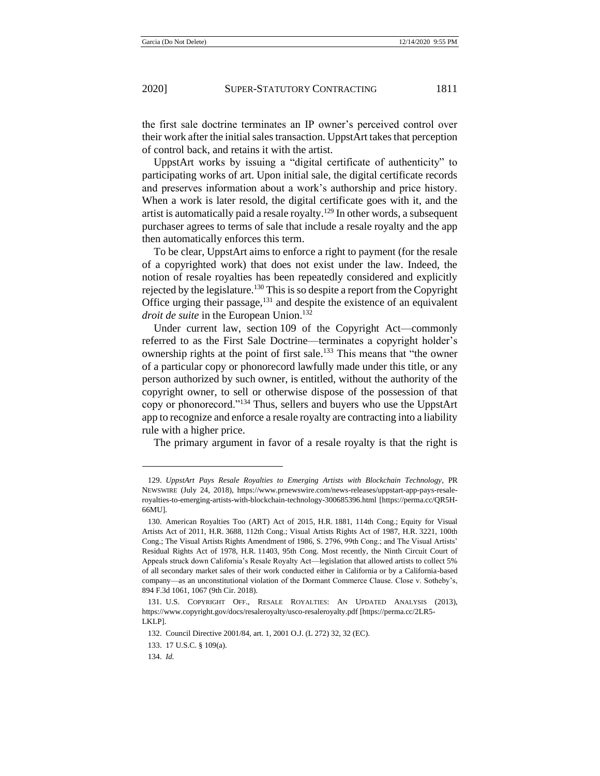the first sale doctrine terminates an IP owner's perceived control over their work after the initial sales transaction. UppstArt takes that perception of control back, and retains it with the artist.

UppstArt works by issuing a "digital certificate of authenticity" to participating works of art. Upon initial sale, the digital certificate records and preserves information about a work's authorship and price history. When a work is later resold, the digital certificate goes with it, and the artist is automatically paid a resale royalty.<sup>129</sup> In other words, a subsequent purchaser agrees to terms of sale that include a resale royalty and the app then automatically enforces this term.

To be clear, UppstArt aims to enforce a right to payment (for the resale of a copyrighted work) that does not exist under the law. Indeed, the notion of resale royalties has been repeatedly considered and explicitly rejected by the legislature.<sup>130</sup> This is so despite a report from the Copyright Office urging their passage,<sup>131</sup> and despite the existence of an equivalent *droit de suite* in the European Union.<sup>132</sup>

Under current law, section 109 of the Copyright Act—commonly referred to as the First Sale Doctrine—terminates a copyright holder's ownership rights at the point of first sale.<sup>133</sup> This means that "the owner of a particular copy or phonorecord lawfully made under this title, or any person authorized by such owner, is entitled, without the authority of the copyright owner, to sell or otherwise dispose of the possession of that copy or phonorecord."<sup>134</sup> Thus, sellers and buyers who use the UppstArt app to recognize and enforce a resale royalty are contracting into a liability rule with a higher price.

The primary argument in favor of a resale royalty is that the right is

<sup>129.</sup> *UppstArt Pays Resale Royalties to Emerging Artists with Blockchain Technology*, PR NEWSWIRE (July 24, 2018), https://www.prnewswire.com/news-releases/uppstart-app-pays-resaleroyalties-to-emerging-artists-with-blockchain-technology-300685396.html [https://perma.cc/QR5H-66MU].

<sup>130.</sup> American Royalties Too (ART) Act of 2015, H.R. 1881, 114th Cong.; Equity for Visual Artists Act of 2011, H.R. 3688, 112th Cong.; Visual Artists Rights Act of 1987, H.R. 3221, 100th Cong.; The Visual Artists Rights Amendment of 1986, S. 2796, 99th Cong.; and The Visual Artists' Residual Rights Act of 1978, H.R. 11403, 95th Cong. Most recently, the Ninth Circuit Court of Appeals struck down California's Resale Royalty Act—legislation that allowed artists to collect 5% of all secondary market sales of their work conducted either in California or by a California-based company—as an unconstitutional violation of the Dormant Commerce Clause. Close v. Sotheby's, 894 F.3d 1061, 1067 (9th Cir. 2018).

<sup>131.</sup> U.S. COPYRIGHT OFF., RESALE ROYALTIES: AN UPDATED ANALYSIS (2013), https://www.copyright.gov/docs/resaleroyalty/usco-resaleroyalty.pdf [https://perma.cc/2LR5- LKLP].

<sup>132.</sup> Council Directive 2001/84, art. 1, 2001 O.J. (L 272) 32, 32 (EC).

<sup>133.</sup> 17 U.S.C. § 109(a).

<sup>134.</sup> *Id.*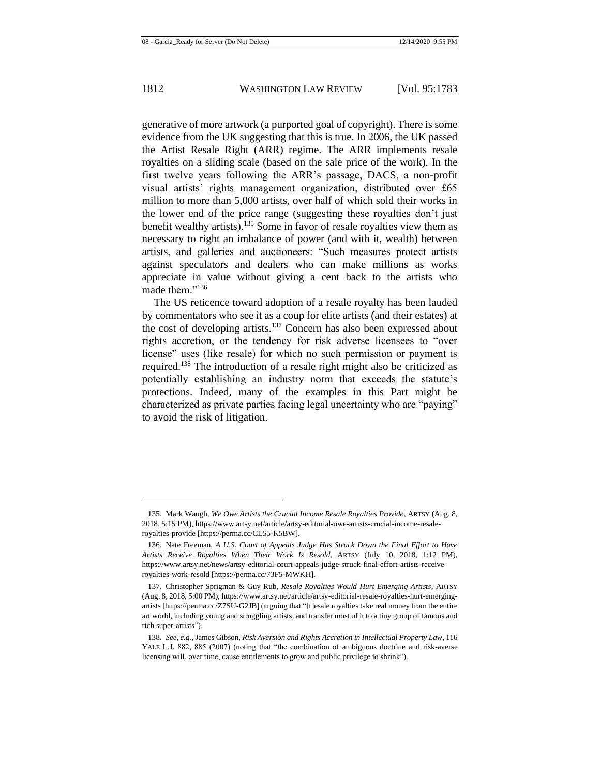generative of more artwork (a purported goal of copyright). There is some evidence from the UK suggesting that this is true. In 2006, the UK passed the Artist Resale Right (ARR) regime. The ARR implements resale royalties on a sliding scale (based on the sale price of the work). In the first twelve years following the ARR's passage, DACS, a non-profit visual artists' rights management organization, distributed over £65 million to more than 5,000 artists, over half of which sold their works in the lower end of the price range (suggesting these royalties don't just benefit wealthy artists).<sup>135</sup> Some in favor of resale royalties view them as necessary to right an imbalance of power (and with it, wealth) between artists, and galleries and auctioneers: "Such measures protect artists against speculators and dealers who can make millions as works appreciate in value without giving a cent back to the artists who made them."<sup>136</sup>

<span id="page-30-0"></span>The US reticence toward adoption of a resale royalty has been lauded by commentators who see it as a coup for elite artists (and their estates) at the cost of developing artists.<sup>137</sup> Concern has also been expressed about rights accretion, or the tendency for risk adverse licensees to "over license" uses (like resale) for which no such permission or payment is required.<sup>138</sup> The introduction of a resale right might also be criticized as potentially establishing an industry norm that exceeds the statute's protections. Indeed, many of the examples in this Part might be characterized as private parties facing legal uncertainty who are "paying" to avoid the risk of litigation.

<sup>135.</sup> Mark Waugh, *We Owe Artists the Crucial Income Resale Royalties Provide*, ARTSY (Aug. 8, 2018, 5:15 PM), https://www.artsy.net/article/artsy-editorial-owe-artists-crucial-income-resaleroyalties-provide [https://perma.cc/CL55-K5BW].

<sup>136.</sup> Nate Freeman, *A U.S. Court of Appeals Judge Has Struck Down the Final Effort to Have Artists Receive Royalties When Their Work Is Resold*, ARTSY (July 10, 2018, 1:12 PM), https://www.artsy.net/news/artsy-editorial-court-appeals-judge-struck-final-effort-artists-receiveroyalties-work-resold [https://perma.cc/73F5-MWKH].

<sup>137.</sup> Christopher Sprigman & Guy Rub, *Resale Royalties Would Hurt Emerging Artists*, ARTSY (Aug. 8, 2018, 5:00 PM), https://www.artsy.net/article/artsy-editorial-resale-royalties-hurt-emergingartists [https://perma.cc/Z7SU-G2JB] (arguing that "[r]esale royalties take real money from the entire art world, including young and struggling artists, and transfer most of it to a tiny group of famous and rich super-artists").

<sup>138.</sup> *See, e.g.*, James Gibson, *Risk Aversion and Rights Accretion in Intellectual Property Law*, 116 YALE L.J. 882, 885 (2007) (noting that "the combination of ambiguous doctrine and risk-averse licensing will, over time, cause entitlements to grow and public privilege to shrink").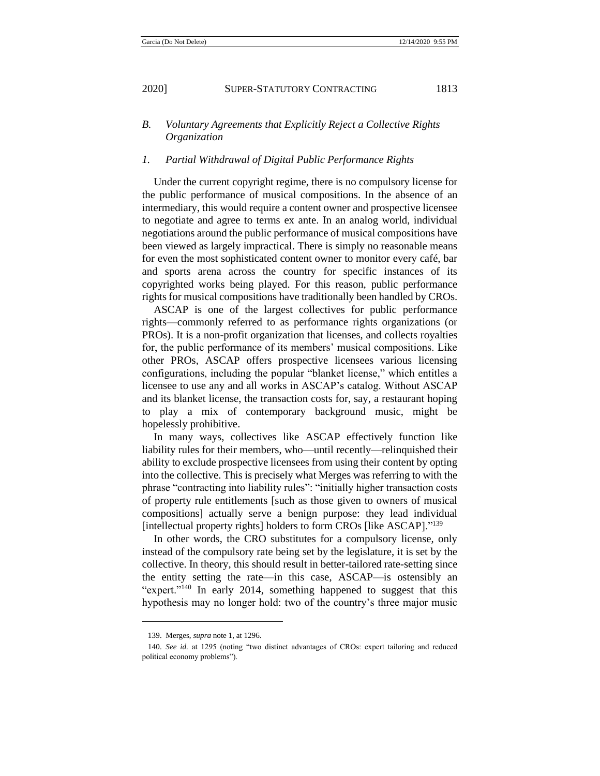## *B. Voluntary Agreements that Explicitly Reject a Collective Rights Organization*

#### *1. Partial Withdrawal of Digital Public Performance Rights*

Under the current copyright regime, there is no compulsory license for the public performance of musical compositions. In the absence of an intermediary, this would require a content owner and prospective licensee to negotiate and agree to terms ex ante. In an analog world, individual negotiations around the public performance of musical compositions have been viewed as largely impractical. There is simply no reasonable means for even the most sophisticated content owner to monitor every café, bar and sports arena across the country for specific instances of its copyrighted works being played. For this reason, public performance rights for musical compositions have traditionally been handled by CROs.

ASCAP is one of the largest collectives for public performance rights—commonly referred to as performance rights organizations (or PROs). It is a non-profit organization that licenses, and collects royalties for, the public performance of its members' musical compositions. Like other PROs, ASCAP offers prospective licensees various licensing configurations, including the popular "blanket license," which entitles a licensee to use any and all works in ASCAP's catalog. Without ASCAP and its blanket license, the transaction costs for, say, a restaurant hoping to play a mix of contemporary background music, might be hopelessly prohibitive.

In many ways, collectives like ASCAP effectively function like liability rules for their members, who—until recently—relinquished their ability to exclude prospective licensees from using their content by opting into the collective. This is precisely what Merges was referring to with the phrase "contracting into liability rules": "initially higher transaction costs of property rule entitlements [such as those given to owners of musical compositions] actually serve a benign purpose: they lead individual [intellectual property rights] holders to form CROs [like ASCAP]."<sup>139</sup>

In other words, the CRO substitutes for a compulsory license, only instead of the compulsory rate being set by the legislature, it is set by the collective. In theory, this should result in better-tailored rate-setting since the entity setting the rate—in this case, ASCAP—is ostensibly an "expert."<sup>140</sup> In early 2014, something happened to suggest that this hypothesis may no longer hold: two of the country's three major music

<sup>139.</sup> Merges, *supra* note [1,](#page-2-0) at 1296.

<sup>140.</sup> *See id.* at 1295 (noting "two distinct advantages of CROs: expert tailoring and reduced political economy problems").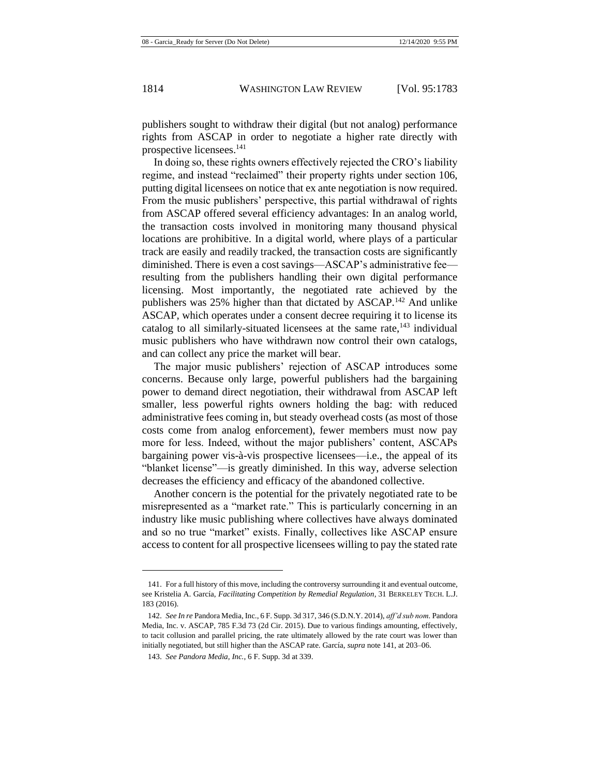publishers sought to withdraw their digital (but not analog) performance rights from ASCAP in order to negotiate a higher rate directly with prospective licensees.<sup>141</sup>

<span id="page-32-0"></span>In doing so, these rights owners effectively rejected the CRO's liability regime, and instead "reclaimed" their property rights under section 106, putting digital licensees on notice that ex ante negotiation is now required. From the music publishers' perspective, this partial withdrawal of rights from ASCAP offered several efficiency advantages: In an analog world, the transaction costs involved in monitoring many thousand physical locations are prohibitive. In a digital world, where plays of a particular track are easily and readily tracked, the transaction costs are significantly diminished. There is even a cost savings—ASCAP's administrative fee resulting from the publishers handling their own digital performance licensing. Most importantly, the negotiated rate achieved by the publishers was 25% higher than that dictated by ASCAP.<sup>142</sup> And unlike ASCAP, which operates under a consent decree requiring it to license its catalog to all similarly-situated licensees at the same rate, $143$  individual music publishers who have withdrawn now control their own catalogs, and can collect any price the market will bear.

The major music publishers' rejection of ASCAP introduces some concerns. Because only large, powerful publishers had the bargaining power to demand direct negotiation, their withdrawal from ASCAP left smaller, less powerful rights owners holding the bag: with reduced administrative fees coming in, but steady overhead costs (as most of those costs come from analog enforcement), fewer members must now pay more for less. Indeed, without the major publishers' content, ASCAPs bargaining power vis-à-vis prospective licensees—i.e., the appeal of its "blanket license"—is greatly diminished. In this way, adverse selection decreases the efficiency and efficacy of the abandoned collective.

Another concern is the potential for the privately negotiated rate to be misrepresented as a "market rate." This is particularly concerning in an industry like music publishing where collectives have always dominated and so no true "market" exists. Finally, collectives like ASCAP ensure access to content for all prospective licensees willing to pay the stated rate

<sup>141.</sup> For a full history of this move, including the controversy surrounding it and eventual outcome, see Kristelia A. García, *Facilitating Competition by Remedial Regulation*, 31 BERKELEY TECH. L.J. 183 (2016).

<sup>142.</sup> *See In re* Pandora Media, Inc., 6 F. Supp. 3d 317, 346 (S.D.N.Y. 2014), *aff'd sub nom.* Pandora Media, Inc. v. ASCAP, 785 F.3d 73 (2d Cir. 2015). Due to various findings amounting, effectively, to tacit collusion and parallel pricing, the rate ultimately allowed by the rate court was lower than initially negotiated, but still higher than the ASCAP rate. García, *supra* not[e 141,](#page-32-0) at 203–06.

<sup>143.</sup> *See Pandora Media, Inc.*, 6 F. Supp. 3d at 339.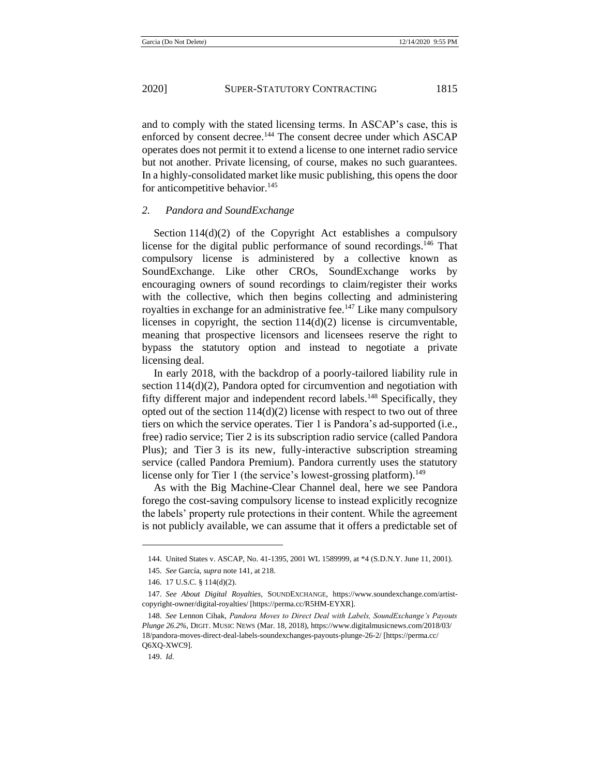and to comply with the stated licensing terms. In ASCAP's case, this is enforced by consent decree.<sup>144</sup> The consent decree under which ASCAP operates does not permit it to extend a license to one internet radio service but not another. Private licensing, of course, makes no such guarantees. In a highly-consolidated market like music publishing, this opens the door for anticompetitive behavior.<sup>145</sup>

### *2. Pandora and SoundExchange*

Section  $114(d)(2)$  of the Copyright Act establishes a compulsory license for the digital public performance of sound recordings.<sup>146</sup> That compulsory license is administered by a collective known as SoundExchange. Like other CROs, SoundExchange works by encouraging owners of sound recordings to claim/register their works with the collective, which then begins collecting and administering royalties in exchange for an administrative fee.<sup>147</sup> Like many compulsory licenses in copyright, the section  $114(d)(2)$  license is circumventable, meaning that prospective licensors and licensees reserve the right to bypass the statutory option and instead to negotiate a private licensing deal.

In early 2018, with the backdrop of a poorly-tailored liability rule in section 114(d)(2), Pandora opted for circumvention and negotiation with fifty different major and independent record labels.<sup>148</sup> Specifically, they opted out of the section  $114(d)(2)$  license with respect to two out of three tiers on which the service operates. Tier 1 is Pandora's ad-supported (i.e., free) radio service; Tier 2 is its subscription radio service (called Pandora Plus); and Tier 3 is its new, fully-interactive subscription streaming service (called Pandora Premium). Pandora currently uses the statutory license only for Tier 1 (the service's lowest-grossing platform).<sup>149</sup>

As with the Big Machine-Clear Channel deal, here we see Pandora forego the cost-saving compulsory license to instead explicitly recognize the labels' property rule protections in their content. While the agreement is not publicly available, we can assume that it offers a predictable set of

<sup>144.</sup> United States v. ASCAP, No. 41-1395, 2001 WL 1589999, at \*4 (S.D.N.Y. June 11, 2001).

<sup>145.</sup> *See* García, *supra* note [141,](#page-32-0) at 218.

<sup>146.</sup> 17 U.S.C. § 114(d)(2).

<sup>147.</sup> *See About Digital Royalties*, SOUNDEXCHANGE, https://www.soundexchange.com/artistcopyright-owner/digital-royalties/ [https://perma.cc/R5HM-EYXR].

<sup>148.</sup> *See* Lennon Cihak, *Pandora Moves to Direct Deal with Labels, SoundExchange's Payouts Plunge 26.2%*, DIGIT. MUSIC NEWS (Mar. 18, 2018), https://www.digitalmusicnews.com/2018/03/ 18/pandora-moves-direct-deal-labels-soundexchanges-payouts-plunge-26-2/ [https://perma.cc/ Q6XQ-XWC9].

<sup>149.</sup> *Id.*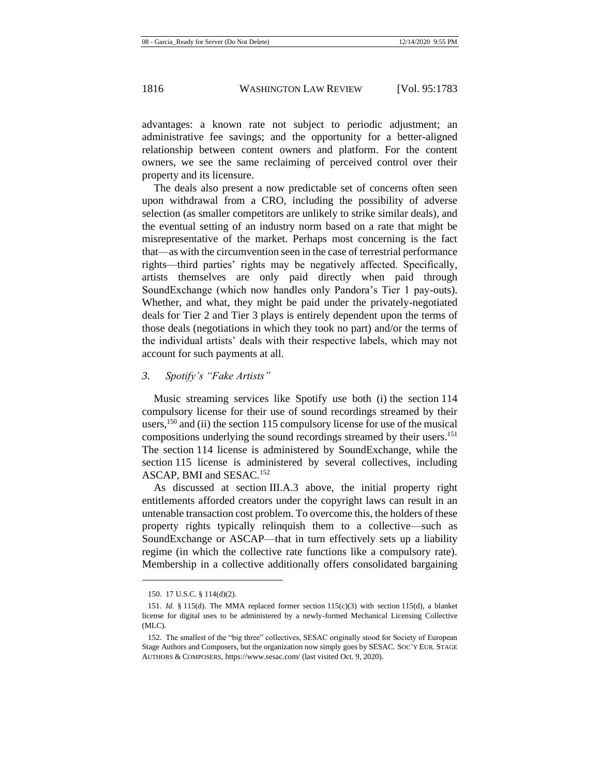advantages: a known rate not subject to periodic adjustment; an administrative fee savings; and the opportunity for a better-aligned relationship between content owners and platform. For the content owners, we see the same reclaiming of perceived control over their property and its licensure.

The deals also present a now predictable set of concerns often seen upon withdrawal from a CRO, including the possibility of adverse selection (as smaller competitors are unlikely to strike similar deals), and the eventual setting of an industry norm based on a rate that might be misrepresentative of the market. Perhaps most concerning is the fact that—as with the circumvention seen in the case of terrestrial performance rights—third parties' rights may be negatively affected. Specifically, artists themselves are only paid directly when paid through SoundExchange (which now handles only Pandora's Tier 1 pay-outs). Whether, and what, they might be paid under the privately-negotiated deals for Tier 2 and Tier 3 plays is entirely dependent upon the terms of those deals (negotiations in which they took no part) and/or the terms of the individual artists' deals with their respective labels, which may not account for such payments at all.

## *3. Spotify's "Fake Artists"*

Music streaming services like Spotify use both (i) the section 114 compulsory license for their use of sound recordings streamed by their users,  $150$  and (ii) the section 115 compulsory license for use of the musical compositions underlying the sound recordings streamed by their users.<sup>151</sup> The section 114 license is administered by SoundExchange, while the section 115 license is administered by several collectives, including ASCAP, BMI and SESAC.<sup>152</sup>

As discussed at section III.A.3 above, the initial property right entitlements afforded creators under the copyright laws can result in an untenable transaction cost problem. To overcome this, the holders of these property rights typically relinquish them to a collective—such as SoundExchange or ASCAP—that in turn effectively sets up a liability regime (in which the collective rate functions like a compulsory rate). Membership in a collective additionally offers consolidated bargaining

<sup>150.</sup> 17 U.S.C. § 114(d)(2).

<sup>151.</sup> *Id.* § 115(d). The MMA replaced former section  $115(c)(3)$  with section 115(d), a blanket license for digital uses to be administered by a newly-formed Mechanical Licensing Collective (MLC).

<sup>152.</sup> The smallest of the "big three" collectives, SESAC originally stood for Society of European Stage Authors and Composers, but the organization now simply goes by SESAC. SOC'Y EUR. STAGE AUTHORS & COMPOSERS, https://www.sesac.com/ (last visited Oct. 9, 2020).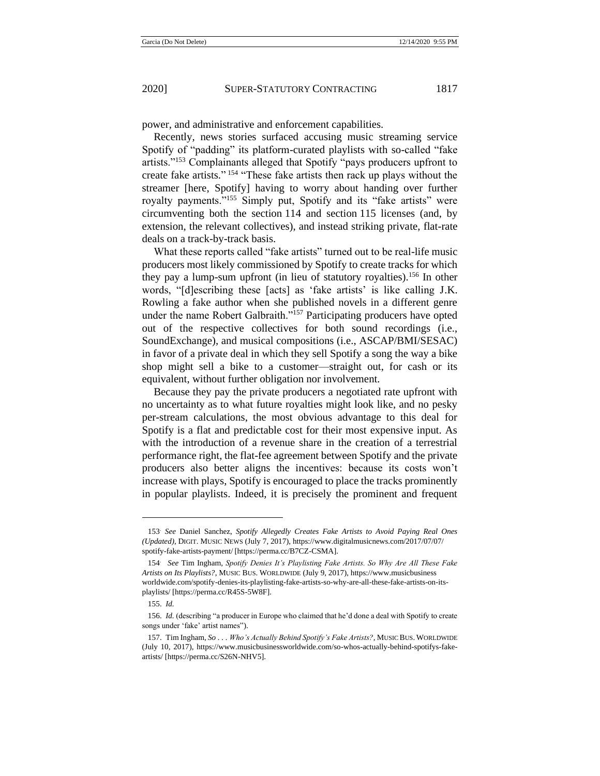power, and administrative and enforcement capabilities.

Recently, news stories surfaced accusing music streaming service Spotify of "padding" its platform-curated playlists with so-called "fake artists."<sup>153</sup> Complainants alleged that Spotify "pays producers upfront to create fake artists."<sup>154</sup> "These fake artists then rack up plays without the streamer [here, Spotify] having to worry about handing over further royalty payments."<sup>155</sup> Simply put, Spotify and its "fake artists" were circumventing both the section 114 and section 115 licenses (and, by extension, the relevant collectives), and instead striking private, flat-rate deals on a track-by-track basis.

What these reports called "fake artists" turned out to be real-life music producers most likely commissioned by Spotify to create tracks for which they pay a lump-sum upfront (in lieu of statutory royalties).<sup>156</sup> In other words, "[d]escribing these [acts] as 'fake artists' is like calling J.K. Rowling a fake author when she published novels in a different genre under the name Robert Galbraith."<sup>157</sup> Participating producers have opted out of the respective collectives for both sound recordings (i.e., SoundExchange), and musical compositions (i.e., ASCAP/BMI/SESAC) in favor of a private deal in which they sell Spotify a song the way a bike shop might sell a bike to a customer—straight out, for cash or its equivalent, without further obligation nor involvement.

Because they pay the private producers a negotiated rate upfront with no uncertainty as to what future royalties might look like, and no pesky per-stream calculations, the most obvious advantage to this deal for Spotify is a flat and predictable cost for their most expensive input. As with the introduction of a revenue share in the creation of a terrestrial performance right, the flat-fee agreement between Spotify and the private producers also better aligns the incentives: because its costs won't increase with plays, Spotify is encouraged to place the tracks prominently in popular playlists. Indeed, it is precisely the prominent and frequent

<sup>153</sup>. *See* Daniel Sanchez, *Spotify Allegedly Creates Fake Artists to Avoid Paying Real Ones (Updated)*, DIGIT. MUSIC NEWS (July 7, 2017), https://www.digitalmusicnews.com/2017/07/07/ spotify-fake-artists-payment/ [https://perma.cc/B7CZ-CSMA].

<sup>154</sup>. *See* Tim Ingham, *Spotify Denies It's Playlisting Fake Artists. So Why Are All These Fake Artists on Its Playlists?*, MUSIC BUS. WORLDWIDE (July 9, 2017), https://www.musicbusiness worldwide.com/spotify-denies-its-playlisting-fake-artists-so-why-are-all-these-fake-artists-on-itsplaylists/ [https://perma.cc/R45S-5W8F].

<sup>155.</sup> *Id.*

<sup>156.</sup> *Id.* (describing "a producer in Europe who claimed that he'd done a deal with Spotify to create songs under 'fake' artist names").

<sup>157.</sup> Tim Ingham, *So . . . Who's Actually Behind Spotify's Fake Artists?*, MUSIC BUS. WORLDWIDE (July 10, 2017), https://www.musicbusinessworldwide.com/so-whos-actually-behind-spotifys-fakeartists/ [https://perma.cc/S26N-NHV5].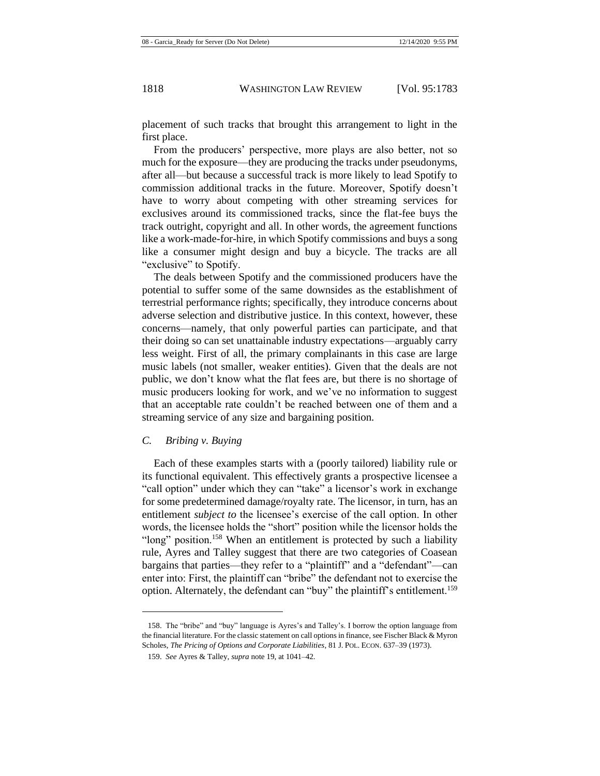placement of such tracks that brought this arrangement to light in the first place.

From the producers' perspective, more plays are also better, not so much for the exposure—they are producing the tracks under pseudonyms, after all—but because a successful track is more likely to lead Spotify to commission additional tracks in the future. Moreover, Spotify doesn't have to worry about competing with other streaming services for exclusives around its commissioned tracks, since the flat-fee buys the track outright, copyright and all. In other words, the agreement functions like a work-made-for-hire, in which Spotify commissions and buys a song like a consumer might design and buy a bicycle. The tracks are all "exclusive" to Spotify.

The deals between Spotify and the commissioned producers have the potential to suffer some of the same downsides as the establishment of terrestrial performance rights; specifically, they introduce concerns about adverse selection and distributive justice. In this context, however, these concerns—namely, that only powerful parties can participate, and that their doing so can set unattainable industry expectations—arguably carry less weight. First of all, the primary complainants in this case are large music labels (not smaller, weaker entities). Given that the deals are not public, we don't know what the flat fees are, but there is no shortage of music producers looking for work, and we've no information to suggest that an acceptable rate couldn't be reached between one of them and a streaming service of any size and bargaining position.

#### *C. Bribing v. Buying*

Each of these examples starts with a (poorly tailored) liability rule or its functional equivalent. This effectively grants a prospective licensee a "call option" under which they can "take" a licensor's work in exchange for some predetermined damage/royalty rate. The licensor, in turn, has an entitlement *subject to* the licensee's exercise of the call option. In other words, the licensee holds the "short" position while the licensor holds the "long" position.<sup>158</sup> When an entitlement is protected by such a liability rule, Ayres and Talley suggest that there are two categories of Coasean bargains that parties—they refer to a "plaintiff" and a "defendant"—can enter into: First, the plaintiff can "bribe" the defendant not to exercise the option. Alternately, the defendant can "buy" the plaintiff's entitlement.<sup>159</sup>

<sup>158.</sup> The "bribe" and "buy" language is Ayres's and Talley's. I borrow the option language from the financial literature. For the classic statement on call options in finance, see Fischer Black & Myron Scholes, *The Pricing of Options and Corporate Liabilities*, 81 J. POL. ECON. 637–39 (1973).

<sup>159.</sup> *See* Ayres & Talley, *supra* note [19,](#page-5-0) at 1041–42*.*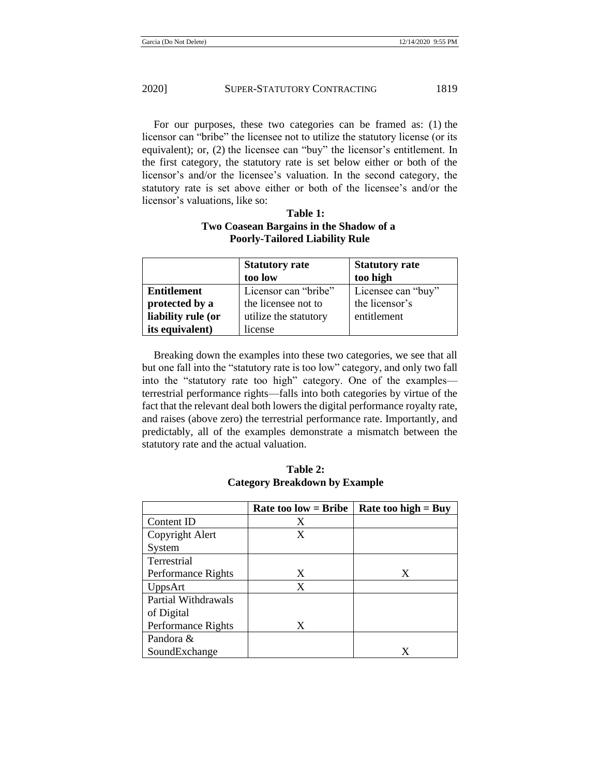For our purposes, these two categories can be framed as: (1) the licensor can "bribe" the licensee not to utilize the statutory license (or its equivalent); or, (2) the licensee can "buy" the licensor's entitlement. In the first category, the statutory rate is set below either or both of the licensor's and/or the licensee's valuation. In the second category, the statutory rate is set above either or both of the licensee's and/or the licensor's valuations, like so:

## **Table 1: Two Coasean Bargains in the Shadow of a Poorly-Tailored Liability Rule**

|                    | <b>Statutory rate</b> | <b>Statutory rate</b> |
|--------------------|-----------------------|-----------------------|
|                    | too low               | too high              |
| <b>Entitlement</b> | Licensor can "bribe"  | Licensee can "buy"    |
| protected by a     | the licensee not to   | the licensor's        |
| liability rule (or | utilize the statutory | entitlement           |
| its equivalent)    | license               |                       |

Breaking down the examples into these two categories, we see that all but one fall into the "statutory rate is too low" category, and only two fall into the "statutory rate too high" category. One of the examples terrestrial performance rights—falls into both categories by virtue of the fact that the relevant deal both lowers the digital performance royalty rate, and raises (above zero) the terrestrial performance rate. Importantly, and predictably, all of the examples demonstrate a mismatch between the statutory rate and the actual valuation.

**Rate too low = Bribe**  $\vert$  **Rate too high = Buy** Content ID X Copyright Alert System X Terrestrial Performance Rights  $\vert$  X  $\vert$  X UppsArt X Partial Withdrawals of Digital Performance Rights X Pandora & SoundExchange X

**Table 2: Category Breakdown by Example**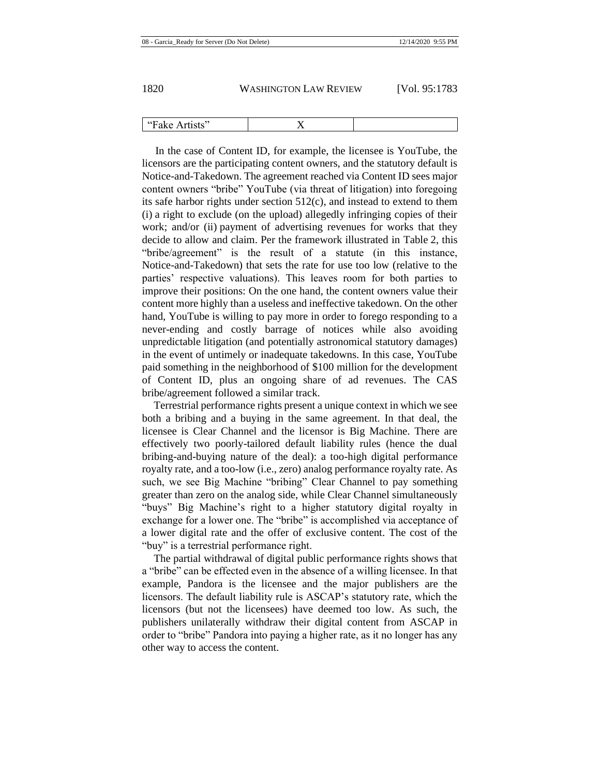In the case of Content ID, for example, the licensee is YouTube, the licensors are the participating content owners, and the statutory default is Notice-and-Takedown. The agreement reached via Content ID sees major content owners "bribe" YouTube (via threat of litigation) into foregoing its safe harbor rights under section 512(c), and instead to extend to them (i) a right to exclude (on the upload) allegedly infringing copies of their work; and/or (ii) payment of advertising revenues for works that they decide to allow and claim. Per the framework illustrated in Table 2, this "bribe/agreement" is the result of a statute (in this instance, Notice-and-Takedown) that sets the rate for use too low (relative to the parties' respective valuations). This leaves room for both parties to improve their positions: On the one hand, the content owners value their content more highly than a useless and ineffective takedown. On the other hand, YouTube is willing to pay more in order to forego responding to a never-ending and costly barrage of notices while also avoiding unpredictable litigation (and potentially astronomical statutory damages) in the event of untimely or inadequate takedowns. In this case, YouTube paid something in the neighborhood of \$100 million for the development of Content ID, plus an ongoing share of ad revenues. The CAS bribe/agreement followed a similar track.

Terrestrial performance rights present a unique context in which we see both a bribing and a buying in the same agreement. In that deal, the licensee is Clear Channel and the licensor is Big Machine. There are effectively two poorly-tailored default liability rules (hence the dual bribing-and-buying nature of the deal): a too-high digital performance royalty rate, and a too-low (i.e., zero) analog performance royalty rate. As such, we see Big Machine "bribing" Clear Channel to pay something greater than zero on the analog side, while Clear Channel simultaneously "buys" Big Machine's right to a higher statutory digital royalty in exchange for a lower one. The "bribe" is accomplished via acceptance of a lower digital rate and the offer of exclusive content. The cost of the "buy" is a terrestrial performance right.

The partial withdrawal of digital public performance rights shows that a "bribe" can be effected even in the absence of a willing licensee. In that example, Pandora is the licensee and the major publishers are the licensors. The default liability rule is ASCAP's statutory rate, which the licensors (but not the licensees) have deemed too low. As such, the publishers unilaterally withdraw their digital content from ASCAP in order to "bribe" Pandora into paying a higher rate, as it no longer has any other way to access the content.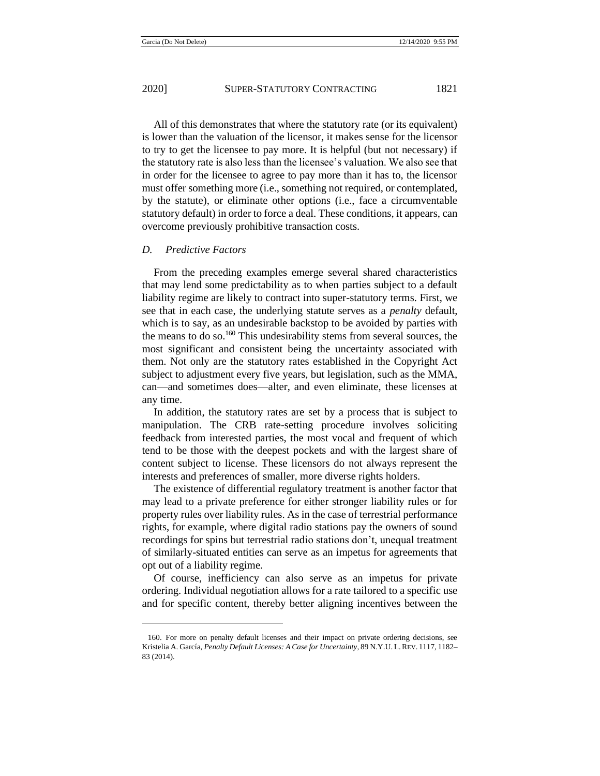All of this demonstrates that where the statutory rate (or its equivalent) is lower than the valuation of the licensor, it makes sense for the licensor to try to get the licensee to pay more. It is helpful (but not necessary) if the statutory rate is also less than the licensee's valuation. We also see that in order for the licensee to agree to pay more than it has to, the licensor must offer something more (i.e., something not required, or contemplated, by the statute), or eliminate other options (i.e., face a circumventable statutory default) in order to force a deal. These conditions, it appears, can overcome previously prohibitive transaction costs.

#### *D. Predictive Factors*

<span id="page-39-0"></span>From the preceding examples emerge several shared characteristics that may lend some predictability as to when parties subject to a default liability regime are likely to contract into super-statutory terms. First, we see that in each case, the underlying statute serves as a *penalty* default, which is to say, as an undesirable backstop to be avoided by parties with the means to do so.<sup>160</sup> This undesirability stems from several sources, the most significant and consistent being the uncertainty associated with them. Not only are the statutory rates established in the Copyright Act subject to adjustment every five years, but legislation, such as the MMA, can—and sometimes does—alter, and even eliminate, these licenses at any time.

In addition, the statutory rates are set by a process that is subject to manipulation. The CRB rate-setting procedure involves soliciting feedback from interested parties, the most vocal and frequent of which tend to be those with the deepest pockets and with the largest share of content subject to license. These licensors do not always represent the interests and preferences of smaller, more diverse rights holders.

The existence of differential regulatory treatment is another factor that may lead to a private preference for either stronger liability rules or for property rules over liability rules. As in the case of terrestrial performance rights, for example, where digital radio stations pay the owners of sound recordings for spins but terrestrial radio stations don't, unequal treatment of similarly-situated entities can serve as an impetus for agreements that opt out of a liability regime.

Of course, inefficiency can also serve as an impetus for private ordering. Individual negotiation allows for a rate tailored to a specific use and for specific content, thereby better aligning incentives between the

<sup>160.</sup> For more on penalty default licenses and their impact on private ordering decisions, see Kristelia A. García, *Penalty Default Licenses: A Case for Uncertainty*, 89 N.Y.U. L.REV. 1117, 1182– 83 (2014).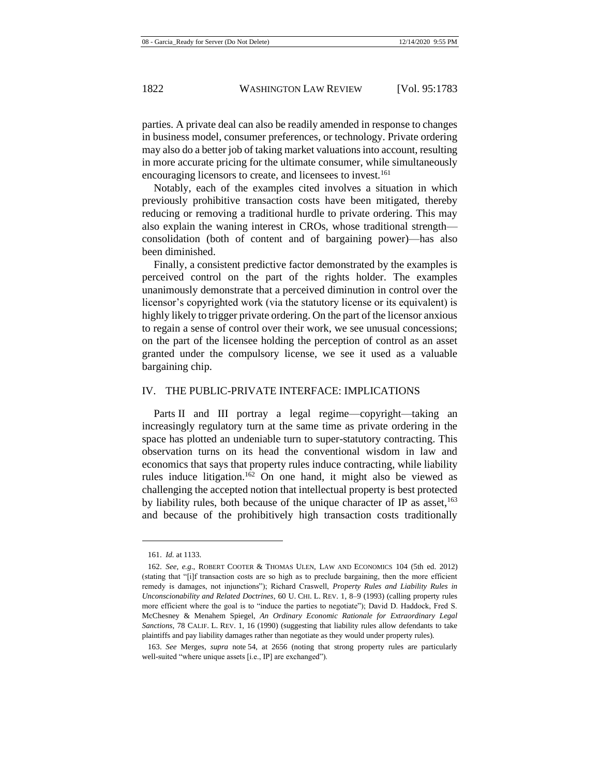parties. A private deal can also be readily amended in response to changes in business model, consumer preferences, or technology. Private ordering may also do a better job of taking market valuations into account, resulting in more accurate pricing for the ultimate consumer, while simultaneously encouraging licensors to create, and licensees to invest.<sup>161</sup>

Notably, each of the examples cited involves a situation in which previously prohibitive transaction costs have been mitigated, thereby reducing or removing a traditional hurdle to private ordering. This may also explain the waning interest in CROs, whose traditional strength consolidation (both of content and of bargaining power)—has also been diminished.

Finally, a consistent predictive factor demonstrated by the examples is perceived control on the part of the rights holder. The examples unanimously demonstrate that a perceived diminution in control over the licensor's copyrighted work (via the statutory license or its equivalent) is highly likely to trigger private ordering. On the part of the licensor anxious to regain a sense of control over their work, we see unusual concessions; on the part of the licensee holding the perception of control as an asset granted under the compulsory license, we see it used as a valuable bargaining chip.

#### IV. THE PUBLIC-PRIVATE INTERFACE: IMPLICATIONS

Parts II and III portray a legal regime—copyright—taking an increasingly regulatory turn at the same time as private ordering in the space has plotted an undeniable turn to super-statutory contracting. This observation turns on its head the conventional wisdom in law and economics that says that property rules induce contracting, while liability rules induce litigation.<sup>162</sup> On one hand, it might also be viewed as challenging the accepted notion that intellectual property is best protected by liability rules, both because of the unique character of IP as asset,  $163$ and because of the prohibitively high transaction costs traditionally

<sup>161.</sup> *Id.* at 1133.

<sup>162.</sup> *See, e.g*., ROBERT COOTER & THOMAS ULEN, LAW AND ECONOMICS 104 (5th ed. 2012) (stating that "[i]f transaction costs are so high as to preclude bargaining, then the more efficient remedy is damages, not injunctions"); Richard Craswell, *Property Rules and Liability Rules in Unconscionability and Related Doctrines*, 60 U. CHI. L. REV. 1, 8–9 (1993) (calling property rules more efficient where the goal is to "induce the parties to negotiate"); David D. Haddock, Fred S. McChesney & Menahem Spiegel, *An Ordinary Economic Rationale for Extraordinary Legal Sanctions*, 78 CALIF. L. REV. 1, 16 (1990) (suggesting that liability rules allow defendants to take plaintiffs and pay liability damages rather than negotiate as they would under property rules).

<sup>163.</sup> *See* Merges, *supra* note [54,](#page-13-0) at 2656 (noting that strong property rules are particularly well-suited "where unique assets [i.e., IP] are exchanged").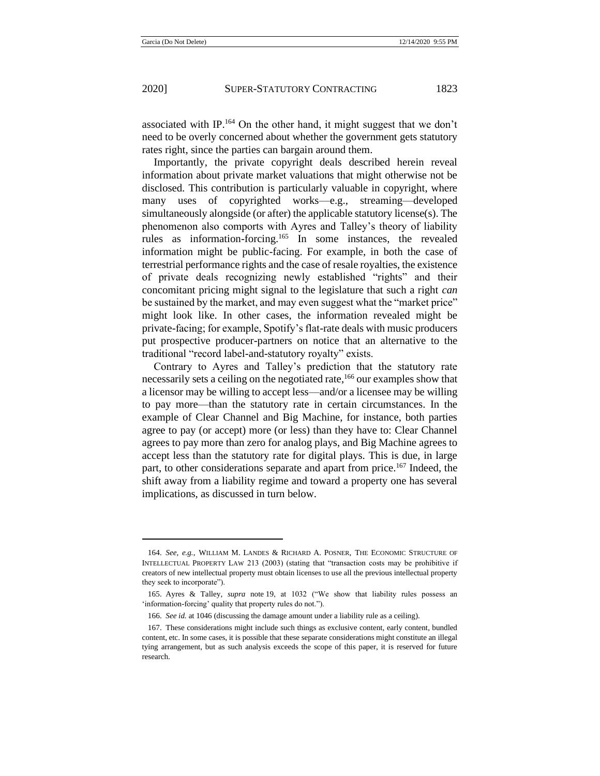associated with IP.<sup>164</sup> On the other hand, it might suggest that we don't need to be overly concerned about whether the government gets statutory rates right, since the parties can bargain around them.

Importantly, the private copyright deals described herein reveal information about private market valuations that might otherwise not be disclosed. This contribution is particularly valuable in copyright, where many uses of copyrighted works—e.g., streaming—developed simultaneously alongside (or after) the applicable statutory license(s). The phenomenon also comports with Ayres and Talley's theory of liability rules as information-forcing.<sup>165</sup> In some instances, the revealed information might be public-facing. For example, in both the case of terrestrial performance rights and the case of resale royalties, the existence of private deals recognizing newly established "rights" and their concomitant pricing might signal to the legislature that such a right *can* be sustained by the market, and may even suggest what the "market price" might look like. In other cases, the information revealed might be private-facing; for example, Spotify's flat-rate deals with music producers put prospective producer-partners on notice that an alternative to the traditional "record label-and-statutory royalty" exists.

Contrary to Ayres and Talley's prediction that the statutory rate necessarily sets a ceiling on the negotiated rate,<sup>166</sup> our examples show that a licensor may be willing to accept less—and/or a licensee may be willing to pay more—than the statutory rate in certain circumstances. In the example of Clear Channel and Big Machine, for instance, both parties agree to pay (or accept) more (or less) than they have to: Clear Channel agrees to pay more than zero for analog plays, and Big Machine agrees to accept less than the statutory rate for digital plays. This is due, in large part, to other considerations separate and apart from price.<sup>167</sup> Indeed, the shift away from a liability regime and toward a property one has several implications, as discussed in turn below.

<sup>164.</sup> *See, e.g.*, WILLIAM M. LANDES & RICHARD A. POSNER, THE ECONOMIC STRUCTURE OF INTELLECTUAL PROPERTY LAW 213 (2003) (stating that "transaction costs may be prohibitive if creators of new intellectual property must obtain licenses to use all the previous intellectual property they seek to incorporate").

<sup>165.</sup> Ayres & Talley, *supra* note [19,](#page-5-0) at 1032 ("We show that liability rules possess an 'information-forcing' quality that property rules do not.").

<sup>166.</sup> *See id.* at 1046 (discussing the damage amount under a liability rule as a ceiling).

<sup>167.</sup> These considerations might include such things as exclusive content, early content, bundled content, etc. In some cases, it is possible that these separate considerations might constitute an illegal tying arrangement, but as such analysis exceeds the scope of this paper, it is reserved for future research.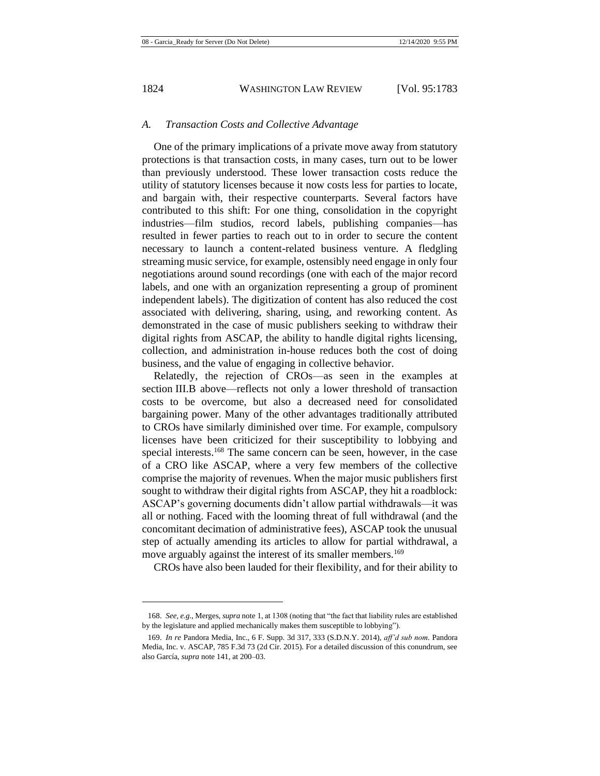### *A. Transaction Costs and Collective Advantage*

One of the primary implications of a private move away from statutory protections is that transaction costs, in many cases, turn out to be lower than previously understood. These lower transaction costs reduce the utility of statutory licenses because it now costs less for parties to locate, and bargain with, their respective counterparts. Several factors have contributed to this shift: For one thing, consolidation in the copyright industries—film studios, record labels, publishing companies—has resulted in fewer parties to reach out to in order to secure the content necessary to launch a content-related business venture. A fledgling streaming music service, for example, ostensibly need engage in only four negotiations around sound recordings (one with each of the major record labels, and one with an organization representing a group of prominent independent labels). The digitization of content has also reduced the cost associated with delivering, sharing, using, and reworking content. As demonstrated in the case of music publishers seeking to withdraw their digital rights from ASCAP, the ability to handle digital rights licensing, collection, and administration in-house reduces both the cost of doing business, and the value of engaging in collective behavior.

Relatedly, the rejection of CROs—as seen in the examples at section III.B above—reflects not only a lower threshold of transaction costs to be overcome, but also a decreased need for consolidated bargaining power. Many of the other advantages traditionally attributed to CROs have similarly diminished over time. For example, compulsory licenses have been criticized for their susceptibility to lobbying and special interests.<sup>168</sup> The same concern can be seen, however, in the case of a CRO like ASCAP, where a very few members of the collective comprise the majority of revenues. When the major music publishers first sought to withdraw their digital rights from ASCAP, they hit a roadblock: ASCAP's governing documents didn't allow partial withdrawals—it was all or nothing. Faced with the looming threat of full withdrawal (and the concomitant decimation of administrative fees), ASCAP took the unusual step of actually amending its articles to allow for partial withdrawal, a move arguably against the interest of its smaller members.<sup>169</sup>

CROs have also been lauded for their flexibility, and for their ability to

<sup>168.</sup> *See, e.g*., Merges, *supra* note [1,](#page-2-0) at 1308 (noting that "the fact that liability rules are established by the legislature and applied mechanically makes them susceptible to lobbying").

<sup>169.</sup> *In re* Pandora Media, Inc., 6 F. Supp. 3d 317, 333 (S.D.N.Y. 2014), *aff'd sub nom.* Pandora Media, Inc. v. ASCAP, 785 F.3d 73 (2d Cir. 2015). For a detailed discussion of this conundrum, see also García, *supra* not[e 141,](#page-32-0) at 200–03.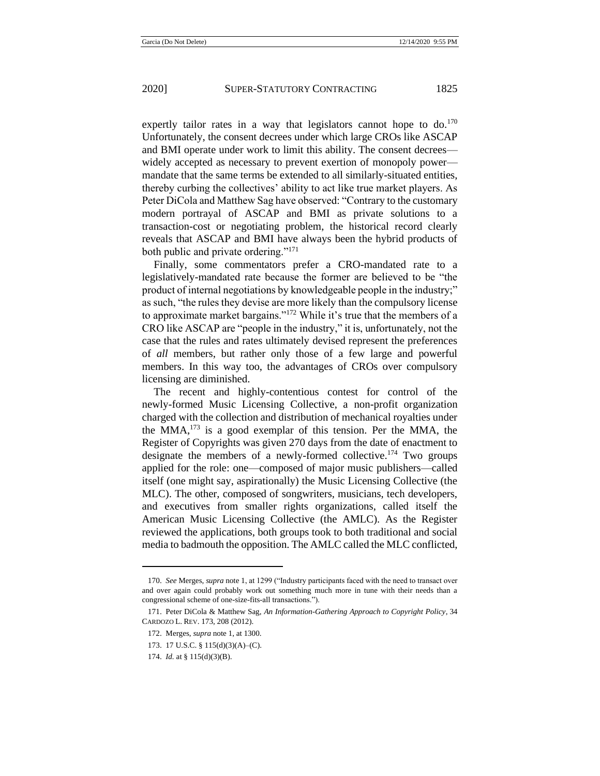expertly tailor rates in a way that legislators cannot hope to  $do.^{170}$ Unfortunately, the consent decrees under which large CROs like ASCAP and BMI operate under work to limit this ability. The consent decrees widely accepted as necessary to prevent exertion of monopoly power mandate that the same terms be extended to all similarly-situated entities, thereby curbing the collectives' ability to act like true market players. As Peter DiCola and Matthew Sag have observed: "Contrary to the customary modern portrayal of ASCAP and BMI as private solutions to a transaction-cost or negotiating problem, the historical record clearly reveals that ASCAP and BMI have always been the hybrid products of both public and private ordering."<sup>171</sup>

Finally, some commentators prefer a CRO-mandated rate to a legislatively-mandated rate because the former are believed to be "the product of internal negotiations by knowledgeable people in the industry;" as such, "the rules they devise are more likely than the compulsory license to approximate market bargains."<sup>172</sup> While it's true that the members of a CRO like ASCAP are "people in the industry," it is, unfortunately, not the case that the rules and rates ultimately devised represent the preferences of *all* members, but rather only those of a few large and powerful members. In this way too, the advantages of CROs over compulsory licensing are diminished.

The recent and highly-contentious contest for control of the newly-formed Music Licensing Collective, a non-profit organization charged with the collection and distribution of mechanical royalties under the MMA, $^{173}$  is a good exemplar of this tension. Per the MMA, the Register of Copyrights was given 270 days from the date of enactment to designate the members of a newly-formed collective.<sup>174</sup> Two groups applied for the role: one—composed of major music publishers—called itself (one might say, aspirationally) the Music Licensing Collective (the MLC). The other, composed of songwriters, musicians, tech developers, and executives from smaller rights organizations, called itself the American Music Licensing Collective (the AMLC). As the Register reviewed the applications, both groups took to both traditional and social media to badmouth the opposition. The AMLC called the MLC conflicted,

<sup>170.</sup> *See* Merges, *supra* note [1,](#page-2-0) at 1299 ("Industry participants faced with the need to transact over and over again could probably work out something much more in tune with their needs than a congressional scheme of one-size-fits-all transactions.").

<sup>171.</sup> Peter DiCola & Matthew Sag, *An Information-Gathering Approach to Copyright Policy*, 34 CARDOZO L. REV. 173, 208 (2012).

<sup>172.</sup> Merges, *supra* not[e 1,](#page-2-0) at 1300.

<sup>173.</sup> 17 U.S.C. § 115(d)(3)(A)–(C).

<sup>174.</sup> *Id.* at § 115(d)(3)(B).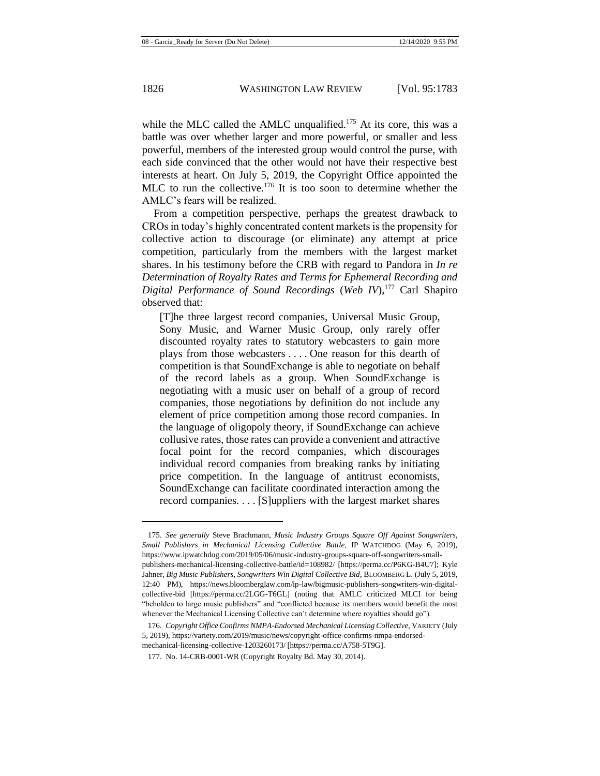while the MLC called the AMLC unqualified.<sup>175</sup> At its core, this was a battle was over whether larger and more powerful, or smaller and less powerful, members of the interested group would control the purse, with each side convinced that the other would not have their respective best interests at heart. On July 5, 2019, the Copyright Office appointed the MLC to run the collective.<sup>176</sup> It is too soon to determine whether the AMLC's fears will be realized.

From a competition perspective, perhaps the greatest drawback to CROs in today's highly concentrated content markets is the propensity for collective action to discourage (or eliminate) any attempt at price competition, particularly from the members with the largest market shares. In his testimony before the CRB with regard to Pandora in *In re Determination of Royalty Rates and Terms for Ephemeral Recording and Digital Performance of Sound Recordings* (*Web IV*), <sup>177</sup> Carl Shapiro observed that:

[T]he three largest record companies, Universal Music Group, Sony Music, and Warner Music Group, only rarely offer discounted royalty rates to statutory webcasters to gain more plays from those webcasters . . . . One reason for this dearth of competition is that SoundExchange is able to negotiate on behalf of the record labels as a group. When SoundExchange is negotiating with a music user on behalf of a group of record companies, those negotiations by definition do not include any element of price competition among those record companies. In the language of oligopoly theory, if SoundExchange can achieve collusive rates, those rates can provide a convenient and attractive focal point for the record companies, which discourages individual record companies from breaking ranks by initiating price competition. In the language of antitrust economists, SoundExchange can facilitate coordinated interaction among the record companies. . . . [S]uppliers with the largest market shares

<sup>175.</sup> *See generally* Steve Brachmann, *Music Industry Groups Square Off Against Songwriters, Small Publishers in Mechanical Licensing Collective Battle*, IP WATCHDOG (May 6, 2019), https://www.ipwatchdog.com/2019/05/06/music-industry-groups-square-off-songwriters-smallpublishers-mechanical-licensing-collective-battle/id=108982/ [https://perma.cc/P6KG-B4U7]; Kyle Jahner, *Big Music Publishers, Songwriters Win Digital Collective Bid*, BLOOMBERG L. (July 5, 2019, 12:40 PM), https://news.bloomberglaw.com/ip-law/bigmusic-publishers-songwriters-win-digitalcollective-bid [https://perma.cc/2LGG-T6GL] (noting that AMLC criticized MLCI for being "beholden to large music publishers" and "conflicted because its members would benefit the most whenever the Mechanical Licensing Collective can't determine where royalties should go").

<sup>176.</sup> *Copyright Office Confirms NMPA-Endorsed Mechanical Licensing Collective*, VARIETY (July 5, 2019), https://variety.com/2019/music/news/copyright-office-confirms-nmpa-endorsedmechanical-licensing-collective-1203260173/ [https://perma.cc/A758-5T9G].

<sup>177.</sup> No. 14-CRB-0001-WR (Copyright Royalty Bd. May 30, 2014).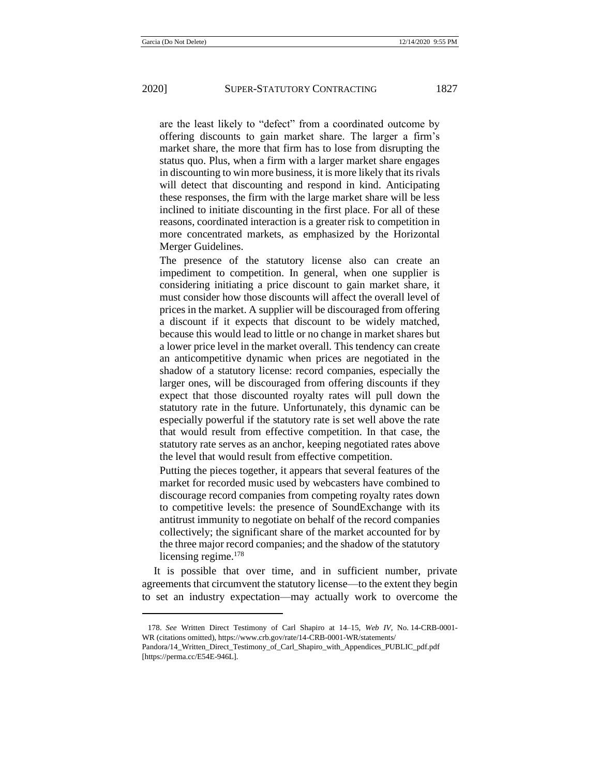are the least likely to "defect" from a coordinated outcome by offering discounts to gain market share. The larger a firm's market share, the more that firm has to lose from disrupting the status quo. Plus, when a firm with a larger market share engages in discounting to win more business, it is more likely that its rivals will detect that discounting and respond in kind. Anticipating these responses, the firm with the large market share will be less inclined to initiate discounting in the first place. For all of these reasons, coordinated interaction is a greater risk to competition in more concentrated markets, as emphasized by the Horizontal Merger Guidelines.

The presence of the statutory license also can create an impediment to competition. In general, when one supplier is considering initiating a price discount to gain market share, it must consider how those discounts will affect the overall level of prices in the market. A supplier will be discouraged from offering a discount if it expects that discount to be widely matched, because this would lead to little or no change in market shares but a lower price level in the market overall. This tendency can create an anticompetitive dynamic when prices are negotiated in the shadow of a statutory license: record companies, especially the larger ones, will be discouraged from offering discounts if they expect that those discounted royalty rates will pull down the statutory rate in the future. Unfortunately, this dynamic can be especially powerful if the statutory rate is set well above the rate that would result from effective competition. In that case, the statutory rate serves as an anchor, keeping negotiated rates above the level that would result from effective competition.

Putting the pieces together, it appears that several features of the market for recorded music used by webcasters have combined to discourage record companies from competing royalty rates down to competitive levels: the presence of SoundExchange with its antitrust immunity to negotiate on behalf of the record companies collectively; the significant share of the market accounted for by the three major record companies; and the shadow of the statutory licensing regime.<sup>178</sup>

It is possible that over time, and in sufficient number, private agreements that circumvent the statutory license—to the extent they begin to set an industry expectation—may actually work to overcome the

<sup>178.</sup> *See* Written Direct Testimony of Carl Shapiro at 14–15, *Web IV*, No. 14-CRB-0001- WR (citations omitted), https://www.crb.gov/rate/14-CRB-0001-WR/statements/

Pandora/14\_Written\_Direct\_Testimony\_of\_Carl\_Shapiro\_with\_Appendices\_PUBLIC\_pdf.pdf [https://perma.cc/E54E-946L].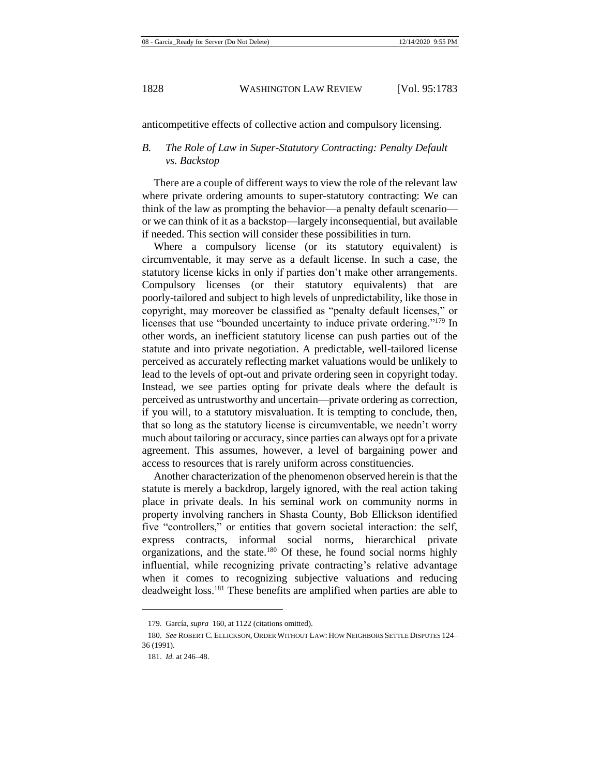anticompetitive effects of collective action and compulsory licensing.

## *B. The Role of Law in Super-Statutory Contracting: Penalty Default vs. Backstop*

There are a couple of different ways to view the role of the relevant law where private ordering amounts to super-statutory contracting: We can think of the law as prompting the behavior—a penalty default scenario or we can think of it as a backstop—largely inconsequential, but available if needed. This section will consider these possibilities in turn.

Where a compulsory license (or its statutory equivalent) is circumventable, it may serve as a default license. In such a case, the statutory license kicks in only if parties don't make other arrangements. Compulsory licenses (or their statutory equivalents) that are poorly-tailored and subject to high levels of unpredictability, like those in copyright, may moreover be classified as "penalty default licenses," or licenses that use "bounded uncertainty to induce private ordering."<sup>179</sup> In other words, an inefficient statutory license can push parties out of the statute and into private negotiation. A predictable, well-tailored license perceived as accurately reflecting market valuations would be unlikely to lead to the levels of opt-out and private ordering seen in copyright today. Instead, we see parties opting for private deals where the default is perceived as untrustworthy and uncertain—private ordering as correction, if you will, to a statutory misvaluation. It is tempting to conclude, then, that so long as the statutory license is circumventable, we needn't worry much about tailoring or accuracy, since parties can always opt for a private agreement. This assumes, however, a level of bargaining power and access to resources that is rarely uniform across constituencies.

Another characterization of the phenomenon observed herein is that the statute is merely a backdrop, largely ignored, with the real action taking place in private deals. In his seminal work on community norms in property involving ranchers in Shasta County, Bob Ellickson identified five "controllers," or entities that govern societal interaction: the self, express contracts, informal social norms, hierarchical private organizations, and the state.<sup>180</sup> Of these, he found social norms highly influential, while recognizing private contracting's relative advantage when it comes to recognizing subjective valuations and reducing deadweight loss.<sup>181</sup> These benefits are amplified when parties are able to

<sup>179.</sup> García, *supra* [160,](#page-39-0) at 1122 (citations omitted).

<sup>180.</sup> *See* ROBERT C. ELLICKSON, ORDER WITHOUT LAW: HOW NEIGHBORS SETTLE DISPUTES 124– 36 (1991).

<sup>181.</sup> *Id.* at 246–48.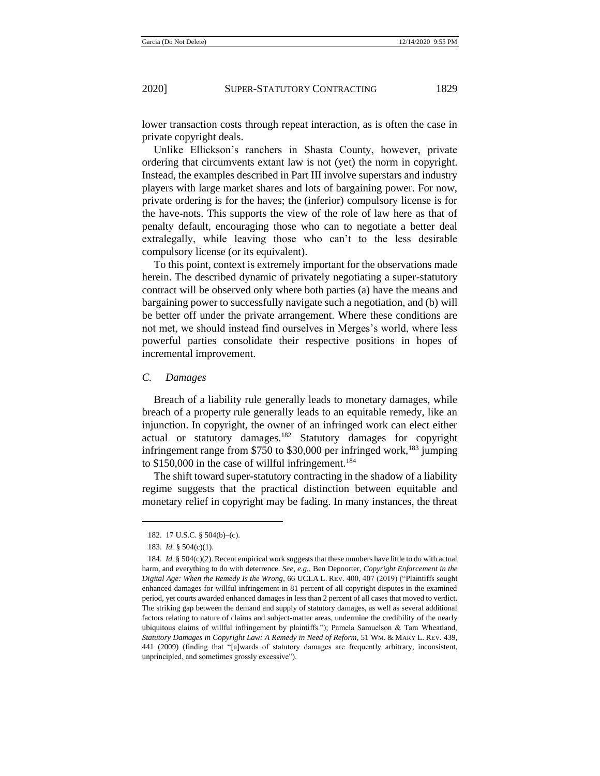lower transaction costs through repeat interaction, as is often the case in private copyright deals.

Unlike Ellickson's ranchers in Shasta County, however, private ordering that circumvents extant law is not (yet) the norm in copyright. Instead, the examples described in Part III involve superstars and industry players with large market shares and lots of bargaining power. For now, private ordering is for the haves; the (inferior) compulsory license is for the have-nots. This supports the view of the role of law here as that of penalty default, encouraging those who can to negotiate a better deal extralegally, while leaving those who can't to the less desirable compulsory license (or its equivalent).

To this point, context is extremely important for the observations made herein. The described dynamic of privately negotiating a super-statutory contract will be observed only where both parties (a) have the means and bargaining power to successfully navigate such a negotiation, and (b) will be better off under the private arrangement. Where these conditions are not met, we should instead find ourselves in Merges's world, where less powerful parties consolidate their respective positions in hopes of incremental improvement.

#### *C. Damages*

Breach of a liability rule generally leads to monetary damages, while breach of a property rule generally leads to an equitable remedy, like an injunction. In copyright, the owner of an infringed work can elect either actual or statutory damages.<sup>182</sup> Statutory damages for copyright infringement range from \$750 to \$30,000 per infringed work,<sup>183</sup> jumping to  $$150,000$  in the case of willful infringement.<sup>184</sup>

The shift toward super-statutory contracting in the shadow of a liability regime suggests that the practical distinction between equitable and monetary relief in copyright may be fading. In many instances, the threat

<sup>182.</sup> 17 U.S.C. § 504(b)–(c).

<sup>183.</sup> *Id.* § 504(c)(1).

<sup>184.</sup> *Id.* § 504(c)(2). Recent empirical work suggests that these numbers have little to do with actual harm, and everything to do with deterrence. *See, e.g.*, Ben Depoorter, *Copyright Enforcement in the Digital Age: When the Remedy Is the Wrong*, 66 UCLA L. REV. 400, 407 (2019) ("Plaintiffs sought enhanced damages for willful infringement in 81 percent of all copyright disputes in the examined period, yet courts awarded enhanced damages in less than 2 percent of all cases that moved to verdict. The striking gap between the demand and supply of statutory damages, as well as several additional factors relating to nature of claims and subject-matter areas, undermine the credibility of the nearly ubiquitous claims of willful infringement by plaintiffs."); Pamela Samuelson & Tara Wheatland, *Statutory Damages in Copyright Law: A Remedy in Need of Reform*, 51 WM. & MARY L. REV. 439, 441 (2009) (finding that "[a]wards of statutory damages are frequently arbitrary, inconsistent, unprincipled, and sometimes grossly excessive").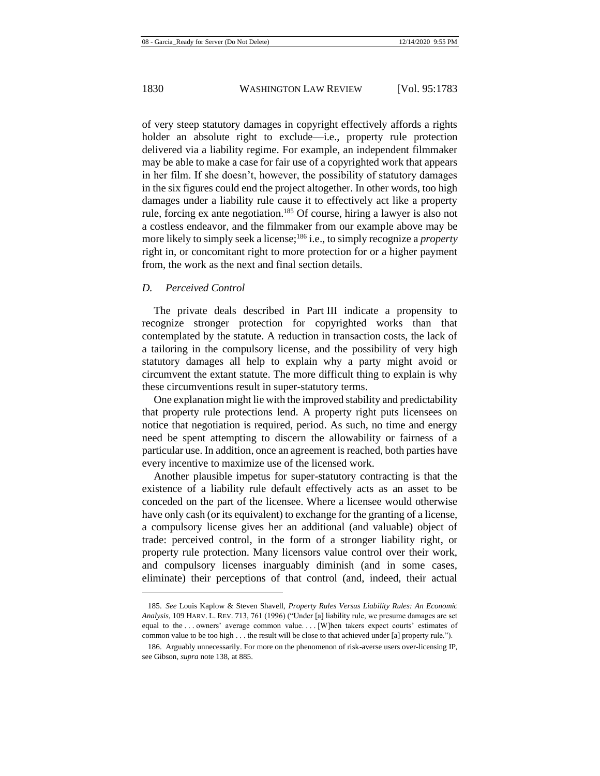of very steep statutory damages in copyright effectively affords a rights holder an absolute right to exclude—i.e., property rule protection delivered via a liability regime. For example, an independent filmmaker may be able to make a case for fair use of a copyrighted work that appears in her film. If she doesn't, however, the possibility of statutory damages in the six figures could end the project altogether. In other words, too high damages under a liability rule cause it to effectively act like a property rule, forcing ex ante negotiation.<sup>185</sup> Of course, hiring a lawyer is also not a costless endeavor, and the filmmaker from our example above may be more likely to simply seek a license;<sup>186</sup> i.e., to simply recognize a *property* right in, or concomitant right to more protection for or a higher payment from, the work as the next and final section details.

#### *D. Perceived Control*

The private deals described in Part III indicate a propensity to recognize stronger protection for copyrighted works than that contemplated by the statute. A reduction in transaction costs, the lack of a tailoring in the compulsory license, and the possibility of very high statutory damages all help to explain why a party might avoid or circumvent the extant statute. The more difficult thing to explain is why these circumventions result in super-statutory terms.

One explanation might lie with the improved stability and predictability that property rule protections lend. A property right puts licensees on notice that negotiation is required, period. As such, no time and energy need be spent attempting to discern the allowability or fairness of a particular use. In addition, once an agreement is reached, both parties have every incentive to maximize use of the licensed work.

Another plausible impetus for super-statutory contracting is that the existence of a liability rule default effectively acts as an asset to be conceded on the part of the licensee. Where a licensee would otherwise have only cash (or its equivalent) to exchange for the granting of a license, a compulsory license gives her an additional (and valuable) object of trade: perceived control, in the form of a stronger liability right, or property rule protection. Many licensors value control over their work, and compulsory licenses inarguably diminish (and in some cases, eliminate) their perceptions of that control (and, indeed, their actual

<sup>185.</sup> *See* Louis Kaplow & Steven Shavell, *Property Rules Versus Liability Rules: An Economic Analysis*, 109 HARV. L. REV. 713, 761 (1996) ("Under [a] liability rule, we presume damages are set equal to the ... owners' average common value. ... [W]hen takers expect courts' estimates of common value to be too high . . . the result will be close to that achieved under [a] property rule.").

<sup>186.</sup> Arguably unnecessarily. For more on the phenomenon of risk-averse users over-licensing IP, see Gibson, *supra* note [138,](#page-30-0) at 885.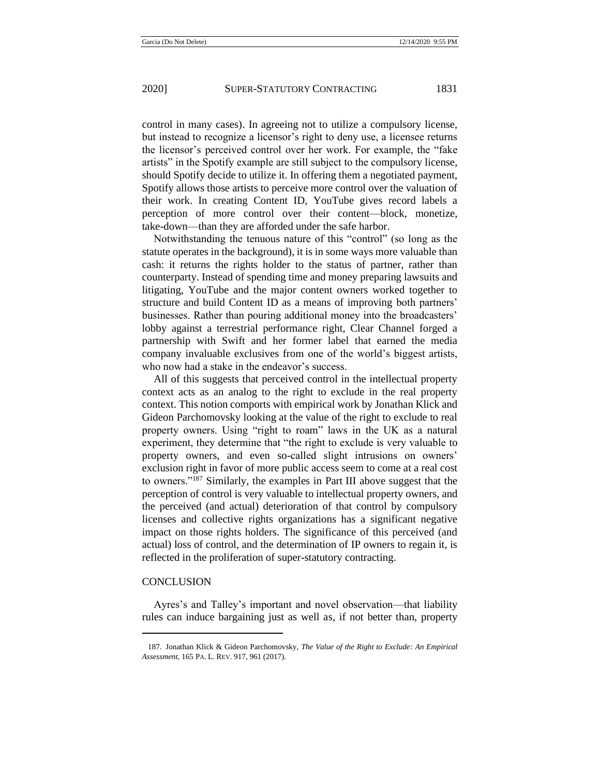control in many cases). In agreeing not to utilize a compulsory license, but instead to recognize a licensor's right to deny use, a licensee returns the licensor's perceived control over her work. For example, the "fake artists" in the Spotify example are still subject to the compulsory license, should Spotify decide to utilize it. In offering them a negotiated payment, Spotify allows those artists to perceive more control over the valuation of their work. In creating Content ID, YouTube gives record labels a perception of more control over their content—block, monetize, take-down—than they are afforded under the safe harbor.

Notwithstanding the tenuous nature of this "control" (so long as the statute operates in the background), it is in some ways more valuable than cash: it returns the rights holder to the status of partner, rather than counterparty. Instead of spending time and money preparing lawsuits and litigating, YouTube and the major content owners worked together to structure and build Content ID as a means of improving both partners' businesses. Rather than pouring additional money into the broadcasters' lobby against a terrestrial performance right, Clear Channel forged a partnership with Swift and her former label that earned the media company invaluable exclusives from one of the world's biggest artists, who now had a stake in the endeavor's success.

All of this suggests that perceived control in the intellectual property context acts as an analog to the right to exclude in the real property context. This notion comports with empirical work by Jonathan Klick and Gideon Parchomovsky looking at the value of the right to exclude to real property owners. Using "right to roam" laws in the UK as a natural experiment, they determine that "the right to exclude is very valuable to property owners, and even so-called slight intrusions on owners' exclusion right in favor of more public access seem to come at a real cost to owners."<sup>187</sup> Similarly, the examples in Part III above suggest that the perception of control is very valuable to intellectual property owners, and the perceived (and actual) deterioration of that control by compulsory licenses and collective rights organizations has a significant negative impact on those rights holders. The significance of this perceived (and actual) loss of control, and the determination of IP owners to regain it, is reflected in the proliferation of super-statutory contracting.

#### **CONCLUSION**

Ayres's and Talley's important and novel observation—that liability rules can induce bargaining just as well as, if not better than, property

<sup>187.</sup> Jonathan Klick & Gideon Parchomovsky, *The Value of the Right to Exclude: An Empirical Assessment*, 165 PA. L. REV. 917, 961 (2017).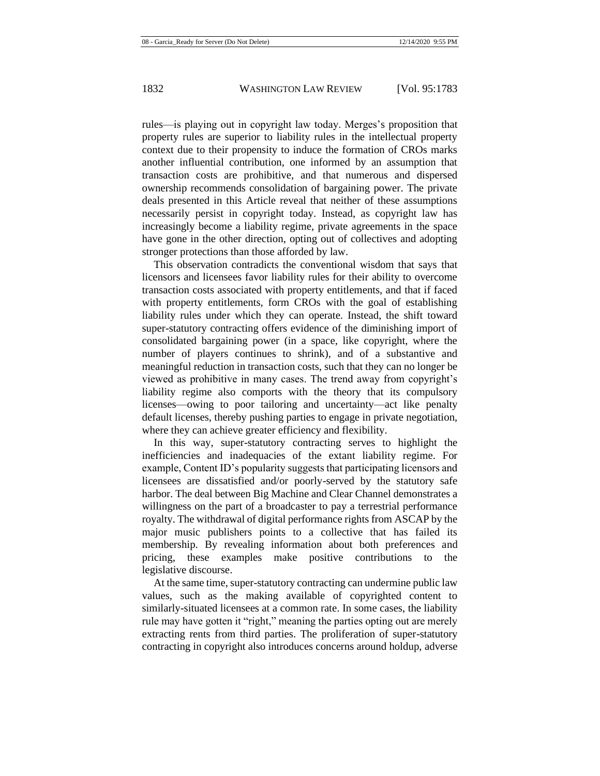rules—is playing out in copyright law today. Merges's proposition that property rules are superior to liability rules in the intellectual property context due to their propensity to induce the formation of CROs marks another influential contribution, one informed by an assumption that transaction costs are prohibitive, and that numerous and dispersed ownership recommends consolidation of bargaining power. The private deals presented in this Article reveal that neither of these assumptions necessarily persist in copyright today. Instead, as copyright law has increasingly become a liability regime, private agreements in the space have gone in the other direction, opting out of collectives and adopting stronger protections than those afforded by law.

This observation contradicts the conventional wisdom that says that licensors and licensees favor liability rules for their ability to overcome transaction costs associated with property entitlements, and that if faced with property entitlements, form CROs with the goal of establishing liability rules under which they can operate. Instead, the shift toward super-statutory contracting offers evidence of the diminishing import of consolidated bargaining power (in a space, like copyright, where the number of players continues to shrink), and of a substantive and meaningful reduction in transaction costs, such that they can no longer be viewed as prohibitive in many cases. The trend away from copyright's liability regime also comports with the theory that its compulsory licenses—owing to poor tailoring and uncertainty—act like penalty default licenses, thereby pushing parties to engage in private negotiation, where they can achieve greater efficiency and flexibility.

In this way, super-statutory contracting serves to highlight the inefficiencies and inadequacies of the extant liability regime. For example, Content ID's popularity suggests that participating licensors and licensees are dissatisfied and/or poorly-served by the statutory safe harbor. The deal between Big Machine and Clear Channel demonstrates a willingness on the part of a broadcaster to pay a terrestrial performance royalty. The withdrawal of digital performance rights from ASCAP by the major music publishers points to a collective that has failed its membership. By revealing information about both preferences and pricing, these examples make positive contributions to the legislative discourse.

At the same time, super-statutory contracting can undermine public law values, such as the making available of copyrighted content to similarly-situated licensees at a common rate. In some cases, the liability rule may have gotten it "right," meaning the parties opting out are merely extracting rents from third parties. The proliferation of super-statutory contracting in copyright also introduces concerns around holdup, adverse